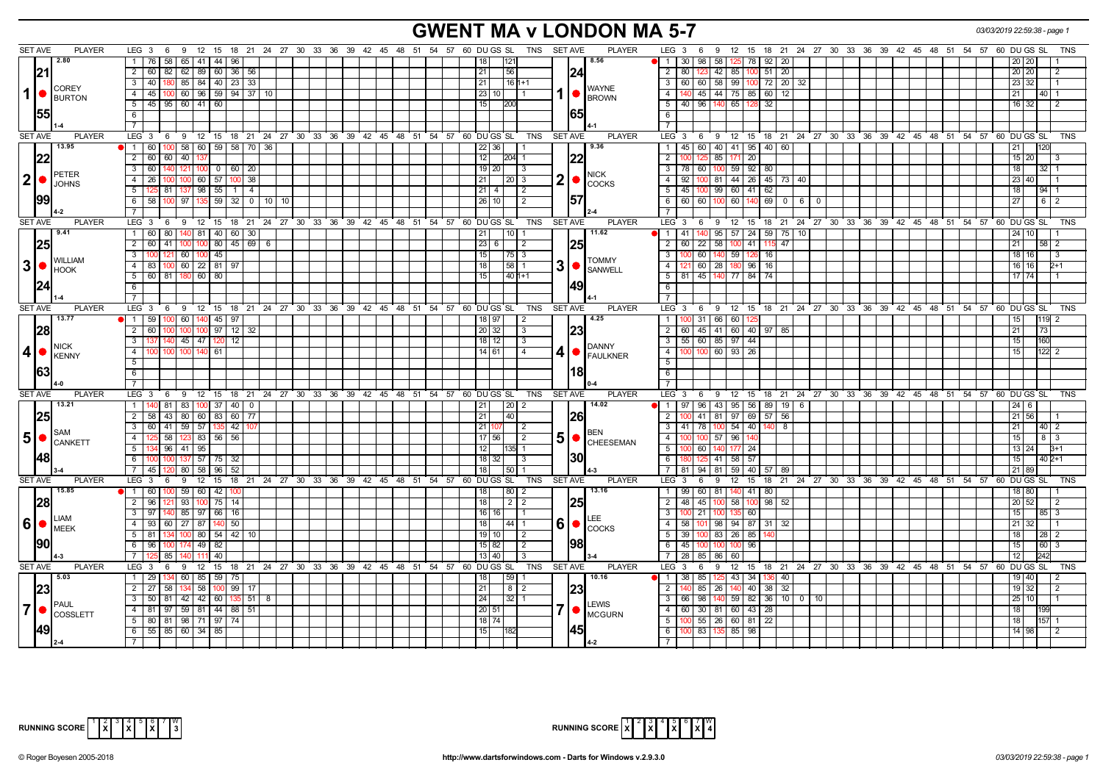# **GWENT MA v LONDON MA 5-7** *03/03/2019 22:59:38 - page 1*

| <b>SET AVE</b><br><b>PLAYER</b>                                 | 9 12 15 18 21 24 27 30 33 36 39 42 45 48 51 54 57 60 DU GS SL TNS SETAVE<br><b>PLAYER</b><br>$LEG_3 6$                                     | LEG $3 \quad 6$<br>9 12 15 18 21 24 27 30 33 36 39 42 45 48 51 54 57 60 DUGS SL<br>TNS                                        |
|-----------------------------------------------------------------|--------------------------------------------------------------------------------------------------------------------------------------------|-------------------------------------------------------------------------------------------------------------------------------|
| 2.80                                                            | 8.56<br>76<br>58<br>65   41   44  <br>  96  <br>18 <sup>1</sup><br>121<br>- 1 - I                                                          | 58<br>98<br>78 92 20<br>-30 I<br>$\overline{1}$<br><b>20</b>                                                                  |
| 21                                                              | 2   60   82   62   89   60   36   56<br>56<br>21<br>124                                                                                    | 123 42 85 100 51 20<br>2   80  <br>20   20                                                                                    |
|                                                                 | $3 \mid 40$<br>85   84   40   23   33<br>21<br>$16 1+1$<br>180                                                                             | $\overline{\mathbf{3}}$<br>60 60 58 99<br>100 72 20 32<br>23 I<br>32                                                          |
| <b>COREY</b><br>$1  \bullet  _{\text{BURTON}}$                  | <b>WAYNE</b><br>4 4 5 100 60 96 59 94 37 10<br>23 10                                                                                       | 45   44   75   85   60   12<br>$\overline{4}$<br>21 I<br>$40 \mid 1$                                                          |
|                                                                 | <b>BROWN</b><br>$5$ 45 95 60 41 60<br>15<br><b>I200</b>                                                                                    | 40   96   140   65   128   32<br>5<br>16 32 1                                                                                 |
| 155                                                             | 1651<br>6                                                                                                                                  | 6                                                                                                                             |
|                                                                 |                                                                                                                                            | $\overline{7}$                                                                                                                |
| <b>PLAYER</b><br><b>SET AVE</b>                                 | LEG 3  6  9  12  15  18  21  24  27  30  33  36  39  42  45  48  51  54  57  60  DUGS SL<br><b>PLAYER</b><br><b>TNS</b><br><b>SET AVE</b>  | LEG 3 6 9 12 15 18 21 24 27 30 33 36 39 42 45 48 51 54 57 60 DUGS SL<br><b>TNS</b>                                            |
| 13.95                                                           | 9.36<br>58 60 59 58 70 36<br>$\blacksquare$<br>60 100<br>22 36                                                                             | 45 60 40 41 95 40 60<br>$\mathbf{1}$                                                                                          |
|                                                                 | $2 \mid 60$<br>60<br>40<br> 22<br>12<br>204 1                                                                                              | $\overline{2}$<br>85<br>$\overline{20}$<br>$15 \ 20$                                                                          |
|                                                                 | 60<br>$100 \mid 0 \mid 60 \mid 20$<br>$19$ 20<br>$\sqrt{3}$<br>3<br>121                                                                    | 59 92 80<br>$\overline{3}$<br>78<br>60 100<br>18 <sup>1</sup><br>32                                                           |
| PETER<br>$2$ $\bullet$ $\beta$ $\beta$ $\beta$ $\beta$ $\beta$  | <b>NICK</b><br>2<br>60 57<br>21<br>4<br>26<br>-38<br>2013                                                                                  | $\overline{4}$<br>100 81<br>44 26 45 73 40<br>92 <sub>1</sub><br>23 I 40                                                      |
|                                                                 | <b>COCKS</b><br>5<br>81<br> 98 <br>55<br>$\overline{4}$<br>21   4<br>$\vert 2 \vert$                                                       | $\overline{5}$<br>-45 I<br>00 99 60 41 62<br>94                                                                               |
| 99                                                              | 157<br>58<br>97   135   59<br>$\overline{32}$   0  <br>26 10<br>$\sqrt{2}$<br>- 6 L<br>10<br>10 <sup>1</sup>                               | 6<br>60 60 100<br>60<br>$140$ 69 0 6 0<br>6                                                                                   |
|                                                                 |                                                                                                                                            | $\overline{7}$                                                                                                                |
| <b>SET AVE</b><br><b>PLAYER</b>                                 | <b>PLAYER</b><br>$LEG_3$ 6<br>9 12 15 18 21 24 27 30 33 36 39 42 45 48 51 54 57 60 DUGS SL<br>TNS<br><b>SET AVE</b>                        | LEG 3 6 9 12 15 18 21 24 27 30 33 36 39 42 45 48 51 54 57 60 DUGS SL<br><b>TNS</b>                                            |
| 9.41                                                            | 11.62<br>1 <sup>1</sup><br>60<br>140  81   40  <br>60 30<br>-80<br>21<br>10                                                                | 95 57 24 59 75 10<br>$\overline{1}$<br>41 I                                                                                   |
| 25                                                              | $2$ 60 41 100 100 80<br>$45 \ 69 \ 6$<br>23 6<br>$\vert 2 \vert$                                                                           | $\frac{60}{22}$ 58 100 41 115<br>$\overline{2}$<br>47<br>21<br>-58                                                            |
|                                                                 | 60   100   45<br>15<br>3<br>$\sqrt{75}$ 3<br>100<br>121                                                                                    | $\overline{\mathbf{3}}$<br>60 140 59 126 16<br>18 16                                                                          |
| <b>WILLIAM</b><br>3 • <br><b>HOOK</b>                           | <b>TOMMY</b><br>3<br>60 22 81<br>18<br>$58$   1<br>$\Delta$<br>83<br>100<br>97<br><b>SANWELL</b>                                           | $\overline{4}$<br>I21 60 28 180 96 16<br>16   16                                                                              |
|                                                                 | 5 60 81 180 60 80<br>15<br>$1401+1$                                                                                                        | 5 <sup>1</sup><br>81 45 140 77 84 74<br>17 74                                                                                 |
| 24                                                              | 49 <br>6                                                                                                                                   | 6                                                                                                                             |
|                                                                 | $7^{\circ}$                                                                                                                                | $7\overline{ }$                                                                                                               |
| <b>SET AVE</b><br><b>PLAYER</b>                                 | LEG 3 6 9 12 15 18 21 24 27 30 33 36 39 42 45 48 51 54 57 60 DUGS SL TNS SETAVE<br><b>PLAYER</b>                                           | LEG 3 6 9 12 15 18 21 24 27 30 33 36 39 42 45 48 51 54 57 60 DUGS SL<br>TNS                                                   |
| 13.77                                                           | $1 \t 59 \t 100$<br>  60   140   45   97  <br>4.25<br>18   97<br>$\vert 2 \vert$                                                           | 100 31 66 60<br>$\mathbf{1}$<br>119<br>15 I                                                                                   |
| 28                                                              | 100 100 97 12 32<br>20 32<br>1231<br>2   60<br>l 3                                                                                         | 2 60 45 41 60 40 97 85<br>21<br>l 73                                                                                          |
| <b>NICK</b>                                                     | 3 137 140<br>$45$ 47 120<br>12<br>$18$ 12<br>$\sqrt{3}$<br><b>DANNY</b>                                                                    | 3<br>55 60 85 97 44<br>15 <sub>1</sub><br>160                                                                                 |
| $ 4 $ $\bullet$ $\frac{1}{100}$ $\frac{1}{100}$ $\frac{1}{100}$ | 4<br>100 140 61<br>$14$ 61<br>4<br>100 <sup>°</sup><br>100<br>4<br>FAULKNER                                                                | 100 100 60 93 26<br>$-4$<br>15 <sup>1</sup><br>122<br>$\mathcal{P}$                                                           |
|                                                                 | 5                                                                                                                                          | $\overline{5}$                                                                                                                |
| 63                                                              | 18<br>6                                                                                                                                    | 6                                                                                                                             |
|                                                                 |                                                                                                                                            | $\overline{7}$                                                                                                                |
| <b>SET AVE</b><br><b>PLAYER</b><br>13.21                        | 9 12 15 18 21 24 27 30 33 36 39 42 45 48 51 54 57 60 DUGS SL<br>SET AVE<br><b>PLAYER</b><br>LEG $3 \quad 6$<br>TNS<br>14.02                | LEG <sub>3</sub><br>6 9 12 15 18 21 24 27 30 33 36 39 42 45 48 51 54 57 60 DUGS SL<br>TNS                                     |
|                                                                 | $100$ 37 40 0<br>1<br>140 81 83<br> 20 <br>21<br>2<br>2 <sup>1</sup>                                                                       | 97   96   43   95   56   89   19   6<br>$\overline{1}$                                                                        |
| 25                                                              | 58<br>43<br>80 60 83<br>60 77<br>21<br>40<br>1261<br>60 41 59 57 139<br>3 I<br>42   107<br>21 1                                            | $\overline{2}$<br>41 81<br>97 69<br>57<br>56<br>56<br>$\overline{3}$<br>  41   78   100   54   40   140<br>8<br>211<br>40   2 |
| SAM                                                             | $\vert 2 \vert$<br><b>BEN</b><br>125 58 123 83 56 56<br>$17$ 56<br>4<br>$\vert 2 \vert$                                                    | 100 100 57 96<br>$\overline{4}$<br>15 <sub>l</sub><br>83                                                                      |
| $\mathbf{5}$ $\bullet$ $\mathbf{S}_{\text{CANKETT}}$            | 51<br>$\bullet$<br><b>CHEESEMAN</b><br>$5 \vert$<br>134 96<br>41 95<br>12<br>35 1                                                          | 5<br>60 140<br>24<br>13 24<br>$B+1$                                                                                           |
| <b>148</b>                                                      | I30I<br>100<br>137 57 75<br>$18$ 32<br>$\sqrt{3}$<br>6<br>32<br>100                                                                        | 6<br>125 41 58 57<br>$402+1$<br>15 <sub>l</sub>                                                                               |
|                                                                 | 45<br>80 58 96<br>52<br><b>7</b> I<br>18 <sup>1</sup><br>  50   1                                                                          | $\overline{7}$<br>59 40 57 89<br>81   94   81  <br>21 89                                                                      |
| <b>SET AVE</b><br><b>PLAYER</b>                                 | 60 DUGS SL TNS<br>LEG <sub>3</sub><br>12<br>18 21 24 27 30 33 36 39 42 45 48 51 54 57<br><b>SET AVE</b><br><b>PLAYER</b><br>9<br>15<br>- 6 | <b>LEG</b><br>18 21 24 27 30 33 36 39 42 45 48 51 54 57 60 DUGS SL<br>6<br>9<br>12<br>15<br>TNS<br>-3                         |
| 15.85                                                           | 80 2<br>13.16<br>60<br>59   60   42<br>18<br>$\overline{1}$                                                                                | 99   60   81<br>140 41 80<br>$\mathbf{1}$<br>18 80                                                                            |
| 28                                                              | 96<br>93 100 75<br>14<br>18<br><b>25</b><br>2                                                                                              | $\overline{2}$<br>58<br>$98$ 52<br>52<br>48<br>45 100<br>100 l<br>20 <sub>1</sub>                                             |
|                                                                 | $16$ 16<br>97<br>85   97  <br>66<br>16                                                                                                     | $\overline{3}$<br>21<br>60<br>15 I<br>8513                                                                                    |
| LIAM<br>$6$ $\bullet$ $\frac{L^{LMW}}{MEEK}$                    | 61<br>93<br>4 I<br>60<br>27   87<br>50 <sub>1</sub><br>18 <sup>1</sup><br>$ 44 $ 1                                                         | $\overline{4}$<br>01 98 94 87 31<br>58<br>-32<br>32                                                                           |
|                                                                 | <b>COCKS</b><br>81<br>80   54<br>$42$   10<br>5 <sub>1</sub><br>$19$ 10<br>$\sqrt{2}$                                                      | 5<br>$ 00 $ 83<br>39<br>26<br>85<br>18 l<br>28 2                                                                              |
| 90                                                              | 1981<br>$\sqrt{82}$<br>96<br>49<br>15 82<br>6<br>$\sqrt{2}$                                                                                | 6<br>45<br>60<br>100 100<br>96<br>15 <sup>1</sup><br>100                                                                      |
|                                                                 | 85<br>40<br>13 40<br>$\mathbf{B}$                                                                                                          | $\overline{7}$<br>28 I<br>85   86<br>60                                                                                       |
| <b>SET AVE</b><br><b>PLAYER</b>                                 | 18 21 24 27 30 33 36 39 42 45 48 51 54 57<br>60 DU GS SL<br>TNS<br><b>SET AVE</b><br><b>PLAYER</b><br>LEG 3<br>12<br>15<br>- 6<br>9        | 15 18 21 24 27 30 33 36 39 42 45 48 51 54 57 60 DUGS SL<br>LEG <sub>3</sub><br>12<br>TNS<br>9<br>- 6                          |
| 5.03                                                            | 60 85 59<br> 59 1<br>10.16<br>$1 \overline{29}$<br>75<br>18 <sup>1</sup>                                                                   | $\overline{1}$<br>85<br>$-43$<br>34<br>40<br>38 I<br>40                                                                       |
| 23                                                              | $2 \mid 27$<br>58<br>$99$   17<br>21<br>58<br>$8 \mid 2$<br>l 100<br> 23                                                                   | $\overline{2}$<br>$85$   26<br>$40$ 38 32<br>19 32<br>$\overline{2}$<br>140                                                   |
|                                                                 | 50<br>81<br>$42$ 42 60<br>24<br>-3 I<br>$135$ 51<br>32<br>-8<br>$\overline{1}$                                                             | $\overline{3}$<br>98<br>$140$ 59 82 36 10 0 10<br>66 l<br>25 10                                                               |
| PAUL<br>$7$ $\bullet$ $\int_{\text{COSSEETT}}$                  | LEWIS<br>7<br>4 81 97 59 81 44 88 51<br>20 51<br><b>MCGURN</b>                                                                             | $\overline{4}$<br>60 30 81 60 43 28<br>18 I                                                                                   |
|                                                                 | $5$   80   81   98   71   97   74  <br>$18$ 74                                                                                             | $\overline{5}$<br>$100$ 55 26 60 81 22<br>18<br>$157 - 1$                                                                     |
|                                                                 | 145I<br>6 55 85 60 34 85<br>15 I                                                                                                           | 6<br>100 83 135 85 98<br>14 98                                                                                                |
|                                                                 |                                                                                                                                            | $\overline{7}$                                                                                                                |



| RUNNING SCORE $\begin{bmatrix} 1 & 2 & 3 & 4 & 5 & 6 & 7 & 6 \ X & 2 & X & 4 & X & 4 \end{bmatrix}$ |  |  |  |  |  |  |  |  |  |  |
|-----------------------------------------------------------------------------------------------------|--|--|--|--|--|--|--|--|--|--|
|-----------------------------------------------------------------------------------------------------|--|--|--|--|--|--|--|--|--|--|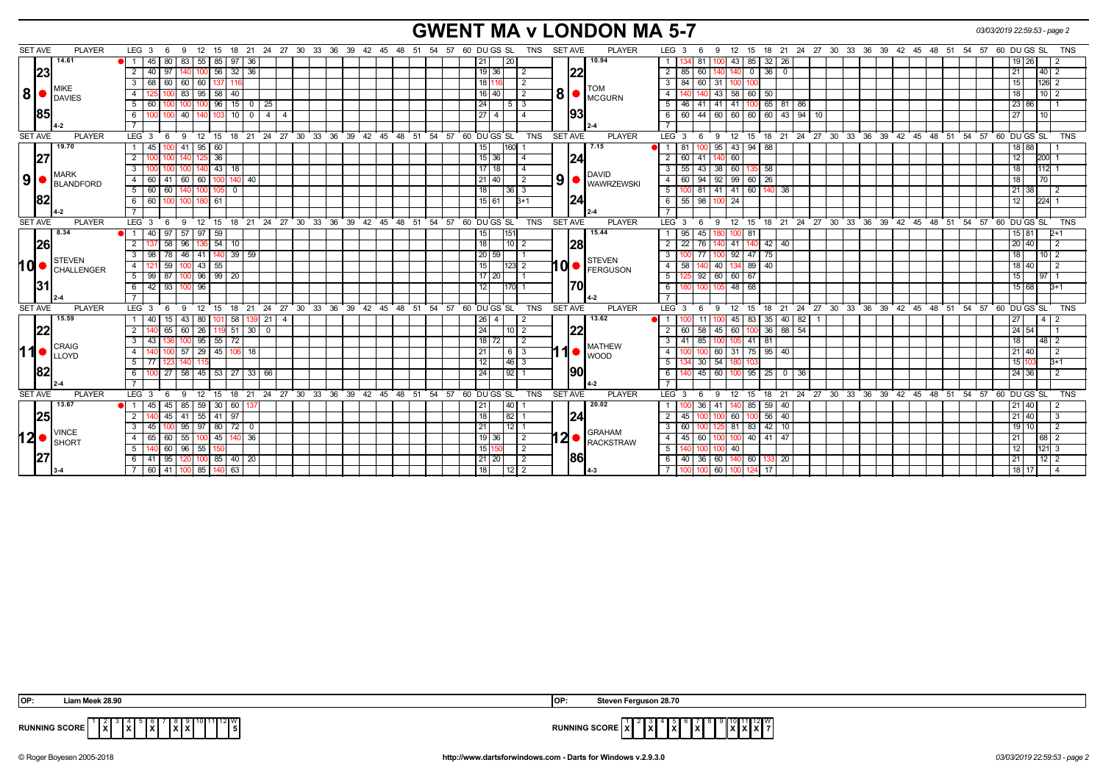# **GWENT MA v LONDON MA 5-7** *03/03/2019 22:59:53 - page 2*

| <b>SET AVE</b> | <b>PLAYER</b>                  | LEG 3<br>-6<br>- 9                                                                                   |                                           | 12 15 18 21 24 27 30 33 36 39 42 45 48 51 54 57 60 DUGS SL   | <b>PLAYER</b><br>TNS<br>SET AVE                                                                          | 12 15 18 21 24 27 30 33 36 39 42 45 48 51 54 57 60 DU GS SL<br>LEG <sub>3</sub><br>TNS<br>9<br>- 6         |
|----------------|--------------------------------|------------------------------------------------------------------------------------------------------|-------------------------------------------|--------------------------------------------------------------|----------------------------------------------------------------------------------------------------------|------------------------------------------------------------------------------------------------------------|
|                | 14.61                          | 83 55<br>85   97   36<br>$\blacksquare$ 1 45<br>80                                                   |                                           |                                                              | 10.94<br>20<br>21                                                                                        | 85 32 26<br>81 I<br>43  <br>19   26  <br>$\mathbf{1}$<br>100                                               |
| 23             |                                | $56$ 32 36<br>$2 \mid 40$<br>97<br>1401 100                                                          |                                           |                                                              | 19 36<br>$\overline{2}$<br> 22                                                                           | $0 36 0$<br>$\overline{2}$<br>60<br>85<br>21<br> 40 <br>140                                                |
|                |                                | 3   68<br>60 60 60<br>1371 116                                                                       |                                           |                                                              | 18 1116<br>$\overline{2}$                                                                                | 3<br>$84$ 60 31<br>126<br>15 I<br>100<br>100                                                               |
| 8              | MIKE                           | 58<br>83   95<br>$\overline{4}$<br>l 40                                                              |                                           |                                                              | <b>TOM</b><br>$\mathbf{8}$ $\bullet$ $\mathbf{C}$ $\mathbf{C}$ $\mathbf{C}$ $\mathbf{C}$<br>16   40<br>2 | $\overline{4}$<br>43<br>58 60 50<br>10 2                                                                   |
|                | <b>IDAVIES</b>                 | 5 60<br>96<br> 15                                                                                    | 25<br>$^{\circ}$                          |                                                              | 5 <sup>1</sup><br>l 3<br>24                                                                              | 100 65 81 86<br>5<br>41<br>41 I<br>23 86<br>46<br>41                                                       |
| <b>85</b>      |                                | 40 140 103 10<br>6 I<br>100<br>100                                                                   | $\circ$ 1<br>$\overline{4}$<br>$\sqrt{4}$ |                                                              | 93 <br>27<br>$\Delta$<br>$\overline{4}$                                                                  | 60   44   60   60   60   60   43   94   10<br>6<br>27 <sub>l</sub><br>110                                  |
|                |                                |                                                                                                      |                                           |                                                              |                                                                                                          |                                                                                                            |
| <b>SET AVE</b> | <b>PLAYER</b>                  | $LEG_3$ 6                                                                                            |                                           | 9 12 15 18 21 24 27 30 33 36 39 42 45 48 51 54 57 60 DUGSSL  | <b>TNS</b><br><b>SET AVE</b><br><b>PLAYER</b>                                                            | 9 12 15 18 21 24 27 30 33 36 39 42 45 48 51 54 57 60 DUGS SL<br>$LEG^{\cdot}$ 3<br><b>TNS</b><br>6         |
|                | 19.70                          | $41$   95   60<br>1   45<br>100                                                                      |                                           |                                                              | 7.15<br>160I<br>15                                                                                       | 43 94 88<br>95<br>$-1$<br>18 88<br>-81                                                                     |
| 27             |                                | 36<br>2 <sup>1</sup>                                                                                 |                                           |                                                              | 15 36<br> 24 <br>4                                                                                       | 2<br>-60 I<br>60<br>12  <br>200<br>41                                                                      |
|                |                                | 43<br>3<br>- 18                                                                                      |                                           |                                                              | $17$   18                                                                                                | 55<br>38<br>60<br>58<br>3<br>43<br>112<br>18                                                               |
| 9              | IMARK<br>BLANDFORD             | 60 60<br>4 60<br>41<br>100                                                                           | 40                                        |                                                              | DAVID<br>$\left  9 \right $ WAWRZEWSKI<br>21   40<br>$\sqrt{2}$                                          | 94 92 99 60 26<br>$\overline{4}$<br>60<br>170<br>18                                                        |
|                |                                | 5 60<br>60<br>$\overline{\mathbf{0}}$<br>140   100  <br>105                                          |                                           |                                                              | 18<br>$36$   3                                                                                           | 81   41   41   60   140   38<br>5<br>21 38                                                                 |
| 182            |                                | 6   60<br>100 180 61                                                                                 |                                           |                                                              | $ 24\rangle$<br>15 61<br>l3+1                                                                            | 6<br>98 100<br>24<br>55<br>12<br>224                                                                       |
|                |                                |                                                                                                      |                                           |                                                              |                                                                                                          |                                                                                                            |
| <b>SET AVE</b> | <b>PLAYER</b>                  | $LEG_3$ 6                                                                                            |                                           | 9 12 15 18 21 24 27 30 33 36 39 42 45 48 51 54 57 60 DUGS SL | TNS SET AVE<br><b>PLAYER</b>                                                                             | LEG <sup>3</sup><br>12 15 18 21 24 27 30 33 36 39 42 45 48 51 54 57 60 DUGS SL<br><b>TNS</b><br>- 6<br>- 9 |
|                | 8.34                           | 1   40<br>97<br>57 97<br>59                                                                          |                                           |                                                              | 15.44<br>15٬                                                                                             | 95<br>45<br>-81<br>15   81                                                                                 |
| <b>26</b>      |                                | 58<br>$96$   136   54   10<br>$\overline{2}$                                                         |                                           |                                                              | 18<br>$110$ 2<br> 28                                                                                     | $\overline{2}$<br>$22 \mid 76$<br>41 140 42 40<br>20 40<br>1401                                            |
|                |                                | 3   98   78   46   41   140   39   59                                                                |                                           |                                                              | 20 59                                                                                                    | 77 100 92 47 75<br>3<br>10 <sup>2</sup><br>18 I                                                            |
|                | STEVEN<br>10   CHALLENGER      | 59<br>$100$ 43 55<br>4 121                                                                           |                                           |                                                              | <b>STEVEN</b><br>10I•<br>15<br> 123 2<br><b>FERGUSON</b>                                                 | $\overline{4}$<br>40 40<br>134 89 40<br>58<br>18   40                                                      |
|                |                                | $5 \mid 99 \mid 87$<br>$100$ 96 99 20                                                                |                                           |                                                              | $17$ 20                                                                                                  | 5<br>92   60   60   67<br>15<br>$\sqrt{97}$ 1                                                              |
| l3ʻ            |                                | 6 42 93 100 96                                                                                       |                                           |                                                              | 170<br>12<br>1170 1                                                                                      | $6\overline{6}$<br>100 105 48 68<br>15 68<br>$B+1$                                                         |
|                |                                |                                                                                                      |                                           |                                                              |                                                                                                          |                                                                                                            |
| <b>SET AVE</b> | <b>PLAYER</b>                  | LEG <sub>3</sub><br>$^{\degree}$ 12<br>9<br>15<br>- 6                                                | $18$ 21                                   | 24 27 30 33 36 39 42 45 48 51 54 57 60 DUGS SL               | <b>TNS</b><br><b>SET AVE</b><br><b>PLAYER</b>                                                            | 18 21 24 27 30 33 36 39 42 45 48 51 54 57 60 DUGS SL<br>$LEG$ 3<br>12<br>15<br><b>TNS</b><br>-9            |
|                | 15.59                          | 43 80<br>$\vert$ 58 $\vert$<br>1   40<br>15<br>101                                                   | 39 21 4                                   |                                                              | 13.62<br>26 I<br>4<br>-2                                                                                 | 45 83 35<br>40   82  <br>11 L<br>I4 I 2                                                                    |
| 22             |                                | 65<br>$60$   26<br>2 I                                                                               | $119$ 51 30 0                             |                                                              | 1221<br>24<br>$10$   2                                                                                   | 58 I<br>100 36 88 54<br>24 54<br>$\overline{2}$<br>60<br>45<br>60 I                                        |
|                |                                | $100$ 95<br>$55 \mid 72$<br>3 I<br>43                                                                |                                           |                                                              | $18$ 72<br>l 2                                                                                           | 85<br>$41$ 81<br>3<br>41<br>18<br>48<br>100                                                                |
| 11             | CRAIG<br><b>LLOYD</b>          | $\begin{array}{ c c c c c c c c c } \hline 57 & 29 & 45 & 106 & 18 \ \hline \end{array}$<br>4<br>100 |                                           |                                                              | <b>MATHEW</b><br>21<br>$\sqrt{6}$<br><b>WOOD</b>                                                         | $\overline{4}$<br>100 60 31 75 95 40<br>21 40                                                              |
|                |                                | 5   77                                                                                               |                                           |                                                              | $\overline{12}$<br> 46 3                                                                                 | 5<br>$30 \mid 54$<br>15 I                                                                                  |
| 182            |                                | $\overline{27}$<br>58 45 53 27 33<br>6 I<br>100                                                      | 66                                        |                                                              | <u> 1901</u><br>24<br> 92                                                                                | $45 \ 60$<br>$95 \mid 25$<br>6<br>0   36<br>24   36<br>-100                                                |
|                |                                |                                                                                                      |                                           |                                                              |                                                                                                          |                                                                                                            |
| <b>SET AVE</b> | <b>PLAYER</b>                  | LEG 3<br>9<br>$12 \quad 15$<br>6                                                                     |                                           | 18 21 24 27 30 33 36 39 42 45 48 51 54 57 60 DUGS SL         | TNS<br>PLAYER<br><b>SET AVE</b>                                                                          | 15 18 21 24 27 30 33 36 39 42 45 48 51 54 57 60 DUGS SL<br>LEG 3<br>12<br><b>TNS</b><br>9<br>- 6           |
|                | 13.67                          | $85 \mid 59$<br>30 60 <br>45<br>1   45                                                               | 137                                       |                                                              | 20.02<br> 40 <br>21                                                                                      | 36 <sup>1</sup><br>41<br>85<br>$59$ 40<br>21 40                                                            |
| 25             |                                | 2 140<br>45<br>41 55 41 97                                                                           |                                           |                                                              | 82 1<br>18<br> 24                                                                                        | $\overline{2}$<br>$100$ 56 $40$<br>21 40<br>45<br>60 I                                                     |
|                |                                | $95 \mid 97$<br>$80$   72  <br>3 I<br>45                                                             | 0                                         |                                                              | 21<br>12                                                                                                 | 3<br>81<br>42<br>60<br>10 <sup>1</sup><br>-83 I<br>19 I                                                    |
| 12∣•           | <b>VINCE</b><br><b>I</b> SHORT | 45<br>$-55$<br>4<br>60<br>65                                                                         | 36                                        |                                                              | <b>GRAHAM</b><br>12●<br>$\overline{19}$ 36<br>-2<br>RACKSTRAW                                            | $\overline{4}$<br>45<br>40 41<br>60<br>-47<br>l 68 l                                                       |
|                |                                | 5 140 60<br>$96 \mid 55$                                                                             |                                           |                                                              | 15 150<br>2                                                                                              | 5<br>40<br>12<br>$121 \overline{\smash{3}}$<br>00<br>100                                                   |
|                |                                | 120 100 85 40 20<br>95<br>6   41                                                                     |                                           |                                                              | 1861<br>$21$ 20<br>$\overline{2}$                                                                        | $112$ 2<br>40 I<br>36 60 140 60 133 20<br>6<br>21                                                          |
|                |                                | 7 60 41 100 85 140 63                                                                                |                                           |                                                              | 18<br>$12$   2                                                                                           | $100$ 60<br>124 17<br>18 17                                                                                |

| OP:                  | * Meek 28.96                                                    | 1 Ur | even Ferguson 28.70، ب                                                                                                           |
|----------------------|-----------------------------------------------------------------|------|----------------------------------------------------------------------------------------------------------------------------------|
| <b>RUNNING SCORE</b> | 12II W<br>.<br>I v I<br>$\sim$<br>$\mathbf{L}$<br>.<br>.<br>. . |      | 1 1 2 W<br><b>RUNNING SCORE IA</b><br>1 v I v I v I -<br>$\mathbf{v}$<br>$\cdots$<br>.<br>1 A I<br>. <b>.</b><br>1 A I<br>.<br>. |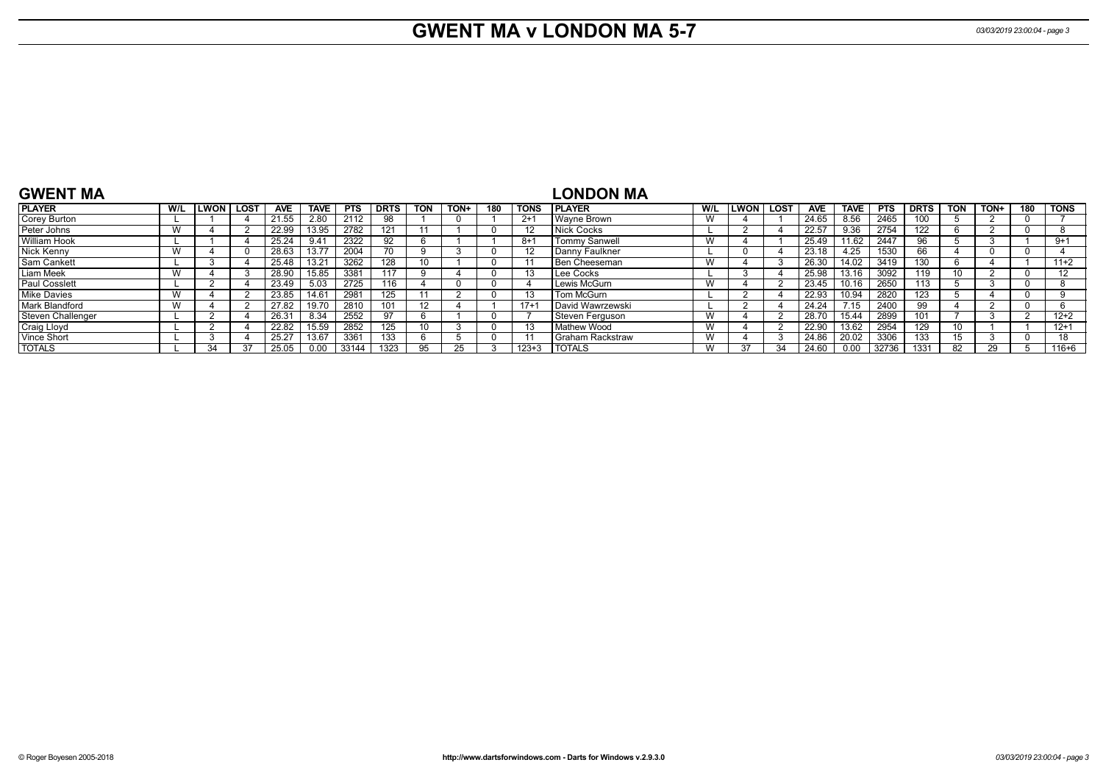# **GWENT MA v LONDON MA 5-7** *03/03/2019 23:00:04 - page 3*

| <b>GWENT MA</b>      |     |                  |            |             |            |      |            |      |          |             | <b>LONDON MA</b>   |     |              |      |            |             |            |             |                 |      |     |          |
|----------------------|-----|------------------|------------|-------------|------------|------|------------|------|----------|-------------|--------------------|-----|--------------|------|------------|-------------|------------|-------------|-----------------|------|-----|----------|
| <b>PLAYER</b>        | W/L | <b>LWON LOST</b> | <b>AVE</b> | <b>TAVE</b> | <b>PTS</b> | DRTS | <b>TON</b> | TON+ | 180      | <b>TONS</b> | <b>PLAYER</b>      | W/L | <b>ILWON</b> | LOST | <b>AVE</b> | <b>TAVE</b> | <b>PTS</b> | <b>DRTS</b> | <b>TON</b>      | TON+ | 180 | TONS     |
| Corey Burton         |     |                  | 21.55      | 2.80        | 2112       | 98   |            |      |          | $2+1$       | Wavne Brown        |     |              |      | 24.65      | 8.56        | 2465       | 100         |                 |      |     |          |
| Peter Johns          | W   |                  | 22.99      | 13.95       | 2782       | 121  |            |      |          |             | Nick Cocks         |     |              |      | 22.57      | 9.36        | 2754       | 122         |                 |      |     |          |
| William Hook         |     |                  | 25.24      | 9.41        | 2322       | 92   |            |      |          | $8+1$       | Tommy Sanwell      | W   |              |      | 25.49      | 11.62       | 2447       | 96.         |                 |      |     | $9 + 1$  |
| Nick Kenny           | W   |                  | 28.63      | 13.77       | 2004       | (1)  |            |      | - 0      |             | Danny Faulkner     |     |              |      | 23.18      | 4.25        | 1530       | 66          |                 |      |     |          |
| Sam Cankett          |     |                  | 25.48      | 13.21       | 3262       | 128  |            |      | $\Omega$ |             | l Ben Cheeseman    | W   |              |      | 26.30      | 14.02       | 3419       | 130         |                 |      |     | $11+2$   |
| Liam Meek            | W   |                  | 28.90      | 15.85       | 3381       | 117  |            |      |          |             | Lee Cocks          |     |              |      | 25.98      | 13.16       | 3092       | 119         | 10 <sup>1</sup> |      |     | 12       |
| <b>Paul Cosslett</b> |     |                  | 23.49      | 5.03        | 2725       | 116  |            |      | $\Omega$ |             | Lewis McGurn       |     |              |      | 23.45      | 10.16       | 2650       | 113         |                 |      |     |          |
| <b>Mike Davies</b>   | W   |                  | 23.85      | 14.61       | 2981       | 125  |            |      |          |             | Tom McGurn         |     |              |      | 22.93      | 10.94       | 2820       | 123         |                 |      |     |          |
| Mark Blandford       | W   |                  | 27.82      | 19.70       | 2810       | 101  | 12         |      |          | $17+$       | David Wawrzewski   |     |              |      | 24.24      | 7.15        | 2400       | 99          |                 |      |     |          |
| Steven Challenger    |     |                  | 26.31      | 8.34        | 2552       | 97   |            |      | - 0      |             | Steven Ferguson    | w   |              |      | 28.70      | 15.44       | 2899       | 101         |                 |      |     | $12+2$   |
| Craig Lloyd          |     |                  | 22.82      | 15.59       | 2852       | 125  |            |      | $\Omega$ |             | Mathew Wood        | W   |              |      | 22.90      | 13.62       | 2954       | 129         | 10 <sup>1</sup> |      |     | $12 + 1$ |
| Vince Short          |     |                  | 25.27      | 13.67       | 3361       | 133  |            |      | $\Omega$ |             | l Graham Rackstraw | W   |              |      | 24.86      | 20.02       | 3306       | 133         | 15              |      |     | 18       |
| <b>TOTALS</b>        |     |                  | 25.05      |             | 33144      | 1323 |            | 25   |          | $123 + 3$   | <b>TOTALS</b>      |     | 37           | 34   | 24.60      | 0.00        | 32736      | 1331        | -82             | 29   |     | 116+6    |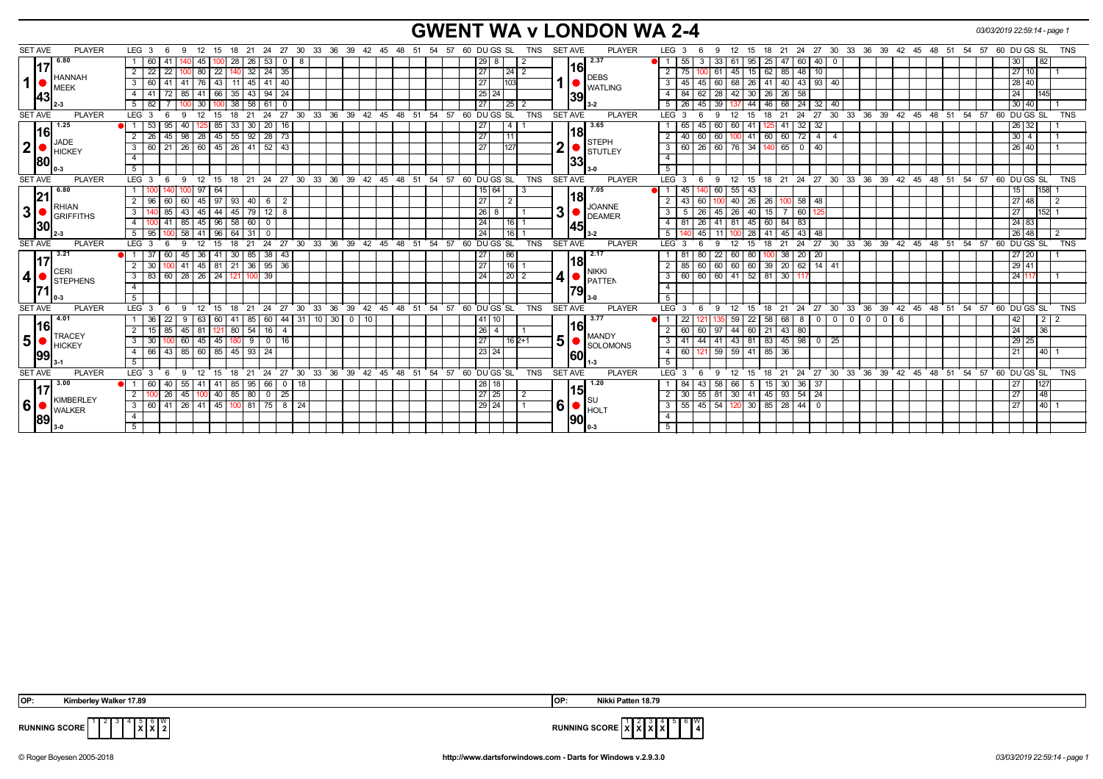# **GWENT WA v LONDON WA 2-4** *03/03/2019 22:59:14 - page 1*

| 2.37<br>6.80<br>53<br> 29 <br>40<br>33<br>25<br> 82<br>28<br>26<br>55<br>95<br>47<br>$\sqrt{60}$<br>30<br>  60<br>41<br>45<br>l 8<br>$\overline{\mathbf{0}}$<br>8<br>$\overline{\mathbf{0}}$<br> 16 <br> 17<br>$24 \overline{35}$<br>27<br>22<br>$\overline{22}$<br>$\vert$ 32<br> 24 2<br>62<br>85   48<br>$2 \mid 22$<br>10<br>27 10<br> 80 <br>61<br>15<br><b>HANNAH</b><br><b>DEBS</b><br>$\mathbf 1$<br>27<br>103<br>$93 \mid 40$<br>43<br>41<br>60<br> 45 <br>40<br>$\overline{\mathbf{3}}$<br>26<br>41<br>$40 \mid 43 \mid$<br>28 40<br>$3 \mid 60$<br>41<br>11<br>68<br>l 76<br>45<br><b>WATLING</b><br>MEEK<br>66<br>$94$ 24<br>25<br>28<br>26<br>72<br>$35 \mid 43 \mid$<br>$\overline{4}$<br> 30 <br>$26 \mid 58$<br>24 <sup>1</sup><br>4   41<br>85   41<br>24<br>84<br>62<br>42<br>39<br> 43<br>39<br>61<br>$\overline{27}$<br> 25 <br>46<br>$68 \mid 24$<br>32<br>$\sqrt{30}$<br>38<br>$\sqrt{58}$<br>5<br>26<br>44<br>30   40<br>$5 \mid 82$<br>45<br>-40<br>TNS<br><b>SET AVE</b><br>24<br>27<br>36 39 42 45 48 51 54 57 60 DUGS SL<br><b>SET AVE</b><br>$21 \quad 24$<br>27 30 33 36 39 42 45 48 51 54 57<br>60 DU GS SL<br><b>TNS</b><br><b>PLAYER</b><br>LEG <sup>3</sup><br>21<br>$30^{\circ}$<br>33<br><b>PLAYER</b><br>LEG <sub>3</sub><br>12<br>18<br>$\mathbf{q}$<br>12<br>15<br>18<br>$\mathbf{Q}$<br>- 15<br>3.65<br>1.25<br>85<br>$33 \mid 30$<br>20 <sub>1</sub><br>16<br>27<br>$\overline{4}$<br>$\sqrt{32}$<br>32<br>$26 \overline{)32}$<br>53<br>95<br>65<br>60<br>60 41<br>41<br>40<br>45<br> 18 <br> 16 <br>$\boxed{28}$ 73<br>$45 \mid 55 \mid 92 \mid$<br>$\overline{27}$<br>45<br>11<br>60<br>60<br>$\overline{4}$<br>$2 \mid 26$<br>$98 \mid 28$<br>2<br>40<br>$60$ 72<br>$30 \mid 4$<br>60<br>100 41<br>$\overline{4}$<br>JADE<br><b>STEPH</b><br>2 <sup>1</sup><br>2<br>127<br>60 76 34<br>21   26   60   45   26   41   52   43<br>27<br>$\overline{\mathbf{3}}$<br>$60$   26<br>65 0 40<br>$3 \mid 60$<br>26 40<br>140 I<br>STUTLEY<br><b>HICKEY</b><br>$\overline{4}$<br>$\overline{4}$<br> 33 <br> 80<br>5<br>5 <sup>5</sup><br><b>SET AVE</b><br>15 18 21 24 27 30 33 36 39 42 45 48 51 54 57 60 DUGSSL<br>18 21 24 27 30 33 36 39 42 45 48 51 54 57 60 DUGS SL<br><b>PLAYER</b><br><b>SET AVE</b><br><b>PLAYER</b><br>$LEG \ 3$<br>$12 \quad 15$<br>LEG <sub>3</sub><br>9 12<br><b>TNS</b><br><b>TNS</b><br>9<br>-6<br>6.80<br>7.05<br>158<br>64<br>15 64<br>60<br>$55 \mid 43$<br>100 97<br>d 1<br>45<br>15  <br> 21 <br><u> 18</u><br> 27<br>60<br>97<br>40 26<br>26<br>$100$ 58<br>48<br>27 48<br>60   45  <br>93   40  <br>6<br>$\overline{2}$<br>$\overline{2}$<br>43<br>60<br>2   96<br>$\overline{2}$<br>100<br><b>RHIAN</b><br><b>JOANNE</b><br>3 <br>3 <sup>1</sup><br> 26 <br>85<br>44<br>$12 \mid 8$<br>45<br>15<br>3 <sup>1</sup><br>$43 \mid 45 \mid$<br>$45$ 79<br>3<br>- 5<br>$\sqrt{26}$<br>26 40<br>$\sqrt{60}$<br>152<br>27<br>8<br>125<br>GRIFFITHS<br><b>DEAMER</b><br>96<br>24<br>$58 \mid 60$<br>60<br>41<br>$85 \mid 45$<br>$\mathbf{0}$<br>16<br>$\overline{4}$<br>81<br>$\sqrt{26}$<br>41<br>81 45<br>$84$ 83<br>24 83<br>4 I<br> 30<br> 45 <br>24<br>5<br>96<br> 16 <br>45<br>$45 \mid 43$<br>48<br>26 48<br>$5 \overline{95}$<br>$58$   41<br>64<br>$\sqrt{31}$<br>0<br>11<br>28<br>41<br>27 30 33 36 39 42 45 48 51 54 57 60 DUGS SL<br>27 30 33 36 39 42 45 48 51 54 57<br><b>SET AVE</b><br><b>PLAYER</b><br>$LEG$ 3<br>24<br><b>TNS</b><br><b>SET AVE</b><br><b>PLAYER</b><br>$LEG^3$ 3<br>12<br>$^{\circ}$ 24<br>60 DU GS SL<br><b>TNS</b><br>$\mathbf{q}$<br>12<br>15<br>18<br>21<br>15<br>21<br>9<br>18<br>-6<br>$\sqrt{3.21}$<br>2.17<br>$30 \mid 85$<br>38<br>86<br>$\overline{22}$<br>20<br>60<br>41<br>43<br>27<br>$38 \mid 20$<br>27 20<br>$\overline{1}37$<br>36<br>60 80<br>45<br>-81<br>80<br>100<br> 18 <br>17<br>$95 \overline{)36}$<br>$\overline{16}$<br>60<br>29 41<br>81 21 36<br>27<br>39<br>$14$ 41<br>$2 \mid 30$<br>$41 \mid 45 \mid$<br>85 60<br>60 60<br>20   62  <br>$\overline{2}$<br>CERI<br>NIKKI<br>$\mathbf{14}$ $\bullet$ $\mathbf{P}^{\text{NINN}}$<br>4 <sup>1</sup><br>$24 \mid 121$<br>39<br>24<br>$\sqrt{20}$ 2<br>$60 \ 60 \ 60 \ 41 \ 52 \ 81$<br>60 28 26<br>3<br>30 11<br>24 117<br>$3 \mid 83$<br><b>STEPHENS</b><br>$\overline{4}$<br>$\overline{4}$<br><b>79</b><br>5<br>5<br>27 30<br>33 36 39<br>42 45 48 51 54 57 60 DUGS SL<br>TNS<br><b>SET AVE</b><br>24 27 30 33<br>36 39 42 45 48 51 54<br>57 60 DU GS SL<br>SET AVE<br><b>PLAYER</b><br>LEG <sub>3</sub><br>12<br>15<br>21<br>24<br><b>PLAYER</b><br>LEG <sub>3</sub><br>12<br>21<br>TNS<br>6<br>- 9<br>18<br>9<br>15<br>18<br>4.01<br>60<br>44 31<br>$10$ 30 0<br>10<br>3.77<br>58<br>$\mathbf 0$<br>22<br>60<br>  85<br>41<br>68   8  <br>$\mathbf 0$<br> 2 <br>63<br>41<br>59<br>22<br>- 0<br>I 0<br>- 0<br>42<br>6<br>l 36<br><u> 116 </u><br> 16  <br> 16 <br> 26 <br>44 60<br>21<br>$43 \mid 80$<br>85<br>80   54<br>$\overline{4}$<br>97<br>24<br> 36 <br>$45 \mid 81$<br>2   15<br>121 <br>-4<br>2<br>60<br>60<br><b>TRACEY</b><br><b>MANDY</b><br>5 <sup>1</sup><br>5<br>43 81 83<br>$180$ 9 0 16<br>27<br>$45 \mid 98 \mid$<br>45<br>$60$   45<br>$162+1$<br>$\overline{\mathbf{3}}$<br>$\sqrt{44}$<br>41<br>$\overline{\phantom{a}}$<br>$3 \overline{)30}$<br>25<br>29 25<br>41<br><b>HICKEY</b><br><b>SOLOMONS</b><br>$-59$<br>$59$ 41 85<br>$85 \mid 45 \mid 93$<br>23 24<br>43<br>$85$ 60<br>$\overline{24}$<br>140<br>$-4$<br>$60$ 121<br>36<br>4 66<br>21<br>60<br> 99<br>5<br>5<br>LEG <sub>3</sub><br>36<br>ີ 39<br><b>TNS</b><br><b>SET AVE</b><br>$33 \t36$<br>39 42<br>54<br>60 DU GS SL<br><b>SET AVE</b><br><b>PLAYER</b><br>21<br>24<br>27<br>30<br>33<br>42 45 48 51<br>54 57 60 DU GS SL<br><b>PLAYER</b><br>LEG <sup>3</sup><br>12<br>24<br>27<br>$30^{\circ}$<br>45 48 51<br>57<br><b>TNS</b><br>9<br>12<br>15<br>18<br>- 15<br>18<br>21<br>9<br>3.00<br>1.20<br>85 95<br>66<br>28<br>58<br>$30 \mid 36$<br>127<br>l 60<br>40<br>55   41<br>18<br>-84<br>66<br>15 I<br>37<br>41<br>$\mathbf{0}$<br>  18<br>5<br><b>15</b><br>17<br>27<br>$\sqrt{25}$<br>$145$ 93 54<br>26<br>$40$ 85 80<br>$\overline{0}$<br>24<br>48<br>$2^{\circ}$<br>45 100<br>25<br>$\overline{2}$<br>30 <sup>1</sup><br>55<br>81<br>30 41<br>$\overline{2}$<br>27<br><b>KIMBERLEY</b><br>6 <sup>1</sup><br>$ 6  \bullet  _{\sf HOLT}^{\sf SU}$<br>$55 \mid 45 \mid 54$<br>$120$ 30 85 28 44 0<br>  41   26   41   45   100   81   75   8   24<br>29 24<br>$\overline{\cdot}$<br>$140$ 1<br>$3 \mid 60$<br>27<br><b>WALKER</b><br>$\overline{4}$<br>$\overline{4}$<br> 89 <br> 90 <br>5<br>5 | <b>SET AVE</b> | <b>PLAYER</b> | LEG <sub>3</sub><br>-6<br>-9 | - 21<br>24<br>-12<br>15<br>18 | 27 |  |  | 30 33 36 39 42 45 48 51 54 57 60 DUGS SL<br>TNS | <b>SET AVE</b><br><b>PLAYER</b> | LEG <sub>3</sub><br>12<br>9 | 18<br>- 15 | 21<br>24 | 27 30 33 36 39 42 45 48 51 54 |  | 57 | 60 DU GS SL | <b>TNS</b> |
|-----------------------------------------------------------------------------------------------------------------------------------------------------------------------------------------------------------------------------------------------------------------------------------------------------------------------------------------------------------------------------------------------------------------------------------------------------------------------------------------------------------------------------------------------------------------------------------------------------------------------------------------------------------------------------------------------------------------------------------------------------------------------------------------------------------------------------------------------------------------------------------------------------------------------------------------------------------------------------------------------------------------------------------------------------------------------------------------------------------------------------------------------------------------------------------------------------------------------------------------------------------------------------------------------------------------------------------------------------------------------------------------------------------------------------------------------------------------------------------------------------------------------------------------------------------------------------------------------------------------------------------------------------------------------------------------------------------------------------------------------------------------------------------------------------------------------------------------------------------------------------------------------------------------------------------------------------------------------------------------------------------------------------------------------------------------------------------------------------------------------------------------------------------------------------------------------------------------------------------------------------------------------------------------------------------------------------------------------------------------------------------------------------------------------------------------------------------------------------------------------------------------------------------------------------------------------------------------------------------------------------------------------------------------------------------------------------------------------------------------------------------------------------------------------------------------------------------------------------------------------------------------------------------------------------------------------------------------------------------------------------------------------------------------------------------------------------------------------------------------------------------------------------------------------------------------------------------------------------------------------------------------------------------------------------------------------------------------------------------------------------------------------------------------------------------------------------------------------------------------------------------------------------------------------------------------------------------------------------------------------------------------------------------------------------------------------------------------------------------------------------------------------------------------------------------------------------------------------------------------------------------------------------------------------------------------------------------------------------------------------------------------------------------------------------------------------------------------------------------------------------------------------------------------------------------------------------------------------------------------------------------------------------------------------------------------------------------------------------------------------------------------------------------------------------------------------------------------------------------------------------------------------------------------------------------------------------------------------------------------------------------------------------------------------------------------------------------------------------------------------------------------------------------------------------------------------------------------------------------------------------------------------------------------------------------------------------------------------------------------------------------------------------------------------------------------------------------------------------------------------------------------------------------------------------------------------------------------------------------------------------------------------------------------------------------------------------------------------------------------------------------------------------------------------------------------------------------------------------------------------------------------------------------------------------------------------------------------------------------------------------------------------------------------------------------------------------------------------------------------------------------------------------------------------------------------------------------------------------------------------------------------------------------------------------------------------------------------------------------------------------------------------------------------------------------------------------------------------------------------------------------------------------------------------------------------------------------------------------------------------------------------------------------------------------------------------------------------------------------------------------------------------------------------------------------------------------------------------------------------------------------------------------------------------------------------------------|----------------|---------------|------------------------------|-------------------------------|----|--|--|-------------------------------------------------|---------------------------------|-----------------------------|------------|----------|-------------------------------|--|----|-------------|------------|
|                                                                                                                                                                                                                                                                                                                                                                                                                                                                                                                                                                                                                                                                                                                                                                                                                                                                                                                                                                                                                                                                                                                                                                                                                                                                                                                                                                                                                                                                                                                                                                                                                                                                                                                                                                                                                                                                                                                                                                                                                                                                                                                                                                                                                                                                                                                                                                                                                                                                                                                                                                                                                                                                                                                                                                                                                                                                                                                                                                                                                                                                                                                                                                                                                                                                                                                                                                                                                                                                                                                                                                                                                                                                                                                                                                                                                                                                                                                                                                                                                                                                                                                                                                                                                                                                                                                                                                                                                                                                                                                                                                                                                                                                                                                                                                                                                                                                                                                                                                                                                                                                                                                                                                                                                                                                                                                                                                                                                                                                                                                                                                                                                                                                                                                                                                                                                                                                                                                                                                                                                                                                                                                                                                                                                                                                                                                                                                                                                                                                                                                                                                             |                |               |                              |                               |    |  |  |                                                 |                                 |                             |            |          |                               |  |    |             |            |
|                                                                                                                                                                                                                                                                                                                                                                                                                                                                                                                                                                                                                                                                                                                                                                                                                                                                                                                                                                                                                                                                                                                                                                                                                                                                                                                                                                                                                                                                                                                                                                                                                                                                                                                                                                                                                                                                                                                                                                                                                                                                                                                                                                                                                                                                                                                                                                                                                                                                                                                                                                                                                                                                                                                                                                                                                                                                                                                                                                                                                                                                                                                                                                                                                                                                                                                                                                                                                                                                                                                                                                                                                                                                                                                                                                                                                                                                                                                                                                                                                                                                                                                                                                                                                                                                                                                                                                                                                                                                                                                                                                                                                                                                                                                                                                                                                                                                                                                                                                                                                                                                                                                                                                                                                                                                                                                                                                                                                                                                                                                                                                                                                                                                                                                                                                                                                                                                                                                                                                                                                                                                                                                                                                                                                                                                                                                                                                                                                                                                                                                                                                             |                |               |                              |                               |    |  |  |                                                 |                                 |                             |            |          |                               |  |    |             |            |
|                                                                                                                                                                                                                                                                                                                                                                                                                                                                                                                                                                                                                                                                                                                                                                                                                                                                                                                                                                                                                                                                                                                                                                                                                                                                                                                                                                                                                                                                                                                                                                                                                                                                                                                                                                                                                                                                                                                                                                                                                                                                                                                                                                                                                                                                                                                                                                                                                                                                                                                                                                                                                                                                                                                                                                                                                                                                                                                                                                                                                                                                                                                                                                                                                                                                                                                                                                                                                                                                                                                                                                                                                                                                                                                                                                                                                                                                                                                                                                                                                                                                                                                                                                                                                                                                                                                                                                                                                                                                                                                                                                                                                                                                                                                                                                                                                                                                                                                                                                                                                                                                                                                                                                                                                                                                                                                                                                                                                                                                                                                                                                                                                                                                                                                                                                                                                                                                                                                                                                                                                                                                                                                                                                                                                                                                                                                                                                                                                                                                                                                                                                             |                |               |                              |                               |    |  |  |                                                 |                                 |                             |            |          |                               |  |    |             |            |
|                                                                                                                                                                                                                                                                                                                                                                                                                                                                                                                                                                                                                                                                                                                                                                                                                                                                                                                                                                                                                                                                                                                                                                                                                                                                                                                                                                                                                                                                                                                                                                                                                                                                                                                                                                                                                                                                                                                                                                                                                                                                                                                                                                                                                                                                                                                                                                                                                                                                                                                                                                                                                                                                                                                                                                                                                                                                                                                                                                                                                                                                                                                                                                                                                                                                                                                                                                                                                                                                                                                                                                                                                                                                                                                                                                                                                                                                                                                                                                                                                                                                                                                                                                                                                                                                                                                                                                                                                                                                                                                                                                                                                                                                                                                                                                                                                                                                                                                                                                                                                                                                                                                                                                                                                                                                                                                                                                                                                                                                                                                                                                                                                                                                                                                                                                                                                                                                                                                                                                                                                                                                                                                                                                                                                                                                                                                                                                                                                                                                                                                                                                             |                |               |                              |                               |    |  |  |                                                 |                                 |                             |            |          |                               |  |    |             |            |
|                                                                                                                                                                                                                                                                                                                                                                                                                                                                                                                                                                                                                                                                                                                                                                                                                                                                                                                                                                                                                                                                                                                                                                                                                                                                                                                                                                                                                                                                                                                                                                                                                                                                                                                                                                                                                                                                                                                                                                                                                                                                                                                                                                                                                                                                                                                                                                                                                                                                                                                                                                                                                                                                                                                                                                                                                                                                                                                                                                                                                                                                                                                                                                                                                                                                                                                                                                                                                                                                                                                                                                                                                                                                                                                                                                                                                                                                                                                                                                                                                                                                                                                                                                                                                                                                                                                                                                                                                                                                                                                                                                                                                                                                                                                                                                                                                                                                                                                                                                                                                                                                                                                                                                                                                                                                                                                                                                                                                                                                                                                                                                                                                                                                                                                                                                                                                                                                                                                                                                                                                                                                                                                                                                                                                                                                                                                                                                                                                                                                                                                                                                             |                |               |                              |                               |    |  |  |                                                 |                                 |                             |            |          |                               |  |    |             |            |
|                                                                                                                                                                                                                                                                                                                                                                                                                                                                                                                                                                                                                                                                                                                                                                                                                                                                                                                                                                                                                                                                                                                                                                                                                                                                                                                                                                                                                                                                                                                                                                                                                                                                                                                                                                                                                                                                                                                                                                                                                                                                                                                                                                                                                                                                                                                                                                                                                                                                                                                                                                                                                                                                                                                                                                                                                                                                                                                                                                                                                                                                                                                                                                                                                                                                                                                                                                                                                                                                                                                                                                                                                                                                                                                                                                                                                                                                                                                                                                                                                                                                                                                                                                                                                                                                                                                                                                                                                                                                                                                                                                                                                                                                                                                                                                                                                                                                                                                                                                                                                                                                                                                                                                                                                                                                                                                                                                                                                                                                                                                                                                                                                                                                                                                                                                                                                                                                                                                                                                                                                                                                                                                                                                                                                                                                                                                                                                                                                                                                                                                                                                             |                |               |                              |                               |    |  |  |                                                 |                                 |                             |            |          |                               |  |    |             |            |
|                                                                                                                                                                                                                                                                                                                                                                                                                                                                                                                                                                                                                                                                                                                                                                                                                                                                                                                                                                                                                                                                                                                                                                                                                                                                                                                                                                                                                                                                                                                                                                                                                                                                                                                                                                                                                                                                                                                                                                                                                                                                                                                                                                                                                                                                                                                                                                                                                                                                                                                                                                                                                                                                                                                                                                                                                                                                                                                                                                                                                                                                                                                                                                                                                                                                                                                                                                                                                                                                                                                                                                                                                                                                                                                                                                                                                                                                                                                                                                                                                                                                                                                                                                                                                                                                                                                                                                                                                                                                                                                                                                                                                                                                                                                                                                                                                                                                                                                                                                                                                                                                                                                                                                                                                                                                                                                                                                                                                                                                                                                                                                                                                                                                                                                                                                                                                                                                                                                                                                                                                                                                                                                                                                                                                                                                                                                                                                                                                                                                                                                                                                             |                |               |                              |                               |    |  |  |                                                 |                                 |                             |            |          |                               |  |    |             |            |
|                                                                                                                                                                                                                                                                                                                                                                                                                                                                                                                                                                                                                                                                                                                                                                                                                                                                                                                                                                                                                                                                                                                                                                                                                                                                                                                                                                                                                                                                                                                                                                                                                                                                                                                                                                                                                                                                                                                                                                                                                                                                                                                                                                                                                                                                                                                                                                                                                                                                                                                                                                                                                                                                                                                                                                                                                                                                                                                                                                                                                                                                                                                                                                                                                                                                                                                                                                                                                                                                                                                                                                                                                                                                                                                                                                                                                                                                                                                                                                                                                                                                                                                                                                                                                                                                                                                                                                                                                                                                                                                                                                                                                                                                                                                                                                                                                                                                                                                                                                                                                                                                                                                                                                                                                                                                                                                                                                                                                                                                                                                                                                                                                                                                                                                                                                                                                                                                                                                                                                                                                                                                                                                                                                                                                                                                                                                                                                                                                                                                                                                                                                             |                |               |                              |                               |    |  |  |                                                 |                                 |                             |            |          |                               |  |    |             |            |
|                                                                                                                                                                                                                                                                                                                                                                                                                                                                                                                                                                                                                                                                                                                                                                                                                                                                                                                                                                                                                                                                                                                                                                                                                                                                                                                                                                                                                                                                                                                                                                                                                                                                                                                                                                                                                                                                                                                                                                                                                                                                                                                                                                                                                                                                                                                                                                                                                                                                                                                                                                                                                                                                                                                                                                                                                                                                                                                                                                                                                                                                                                                                                                                                                                                                                                                                                                                                                                                                                                                                                                                                                                                                                                                                                                                                                                                                                                                                                                                                                                                                                                                                                                                                                                                                                                                                                                                                                                                                                                                                                                                                                                                                                                                                                                                                                                                                                                                                                                                                                                                                                                                                                                                                                                                                                                                                                                                                                                                                                                                                                                                                                                                                                                                                                                                                                                                                                                                                                                                                                                                                                                                                                                                                                                                                                                                                                                                                                                                                                                                                                                             |                |               |                              |                               |    |  |  |                                                 |                                 |                             |            |          |                               |  |    |             |            |
|                                                                                                                                                                                                                                                                                                                                                                                                                                                                                                                                                                                                                                                                                                                                                                                                                                                                                                                                                                                                                                                                                                                                                                                                                                                                                                                                                                                                                                                                                                                                                                                                                                                                                                                                                                                                                                                                                                                                                                                                                                                                                                                                                                                                                                                                                                                                                                                                                                                                                                                                                                                                                                                                                                                                                                                                                                                                                                                                                                                                                                                                                                                                                                                                                                                                                                                                                                                                                                                                                                                                                                                                                                                                                                                                                                                                                                                                                                                                                                                                                                                                                                                                                                                                                                                                                                                                                                                                                                                                                                                                                                                                                                                                                                                                                                                                                                                                                                                                                                                                                                                                                                                                                                                                                                                                                                                                                                                                                                                                                                                                                                                                                                                                                                                                                                                                                                                                                                                                                                                                                                                                                                                                                                                                                                                                                                                                                                                                                                                                                                                                                                             |                |               |                              |                               |    |  |  |                                                 |                                 |                             |            |          |                               |  |    |             |            |
|                                                                                                                                                                                                                                                                                                                                                                                                                                                                                                                                                                                                                                                                                                                                                                                                                                                                                                                                                                                                                                                                                                                                                                                                                                                                                                                                                                                                                                                                                                                                                                                                                                                                                                                                                                                                                                                                                                                                                                                                                                                                                                                                                                                                                                                                                                                                                                                                                                                                                                                                                                                                                                                                                                                                                                                                                                                                                                                                                                                                                                                                                                                                                                                                                                                                                                                                                                                                                                                                                                                                                                                                                                                                                                                                                                                                                                                                                                                                                                                                                                                                                                                                                                                                                                                                                                                                                                                                                                                                                                                                                                                                                                                                                                                                                                                                                                                                                                                                                                                                                                                                                                                                                                                                                                                                                                                                                                                                                                                                                                                                                                                                                                                                                                                                                                                                                                                                                                                                                                                                                                                                                                                                                                                                                                                                                                                                                                                                                                                                                                                                                                             |                |               |                              |                               |    |  |  |                                                 |                                 |                             |            |          |                               |  |    |             |            |
|                                                                                                                                                                                                                                                                                                                                                                                                                                                                                                                                                                                                                                                                                                                                                                                                                                                                                                                                                                                                                                                                                                                                                                                                                                                                                                                                                                                                                                                                                                                                                                                                                                                                                                                                                                                                                                                                                                                                                                                                                                                                                                                                                                                                                                                                                                                                                                                                                                                                                                                                                                                                                                                                                                                                                                                                                                                                                                                                                                                                                                                                                                                                                                                                                                                                                                                                                                                                                                                                                                                                                                                                                                                                                                                                                                                                                                                                                                                                                                                                                                                                                                                                                                                                                                                                                                                                                                                                                                                                                                                                                                                                                                                                                                                                                                                                                                                                                                                                                                                                                                                                                                                                                                                                                                                                                                                                                                                                                                                                                                                                                                                                                                                                                                                                                                                                                                                                                                                                                                                                                                                                                                                                                                                                                                                                                                                                                                                                                                                                                                                                                                             |                |               |                              |                               |    |  |  |                                                 |                                 |                             |            |          |                               |  |    |             |            |
|                                                                                                                                                                                                                                                                                                                                                                                                                                                                                                                                                                                                                                                                                                                                                                                                                                                                                                                                                                                                                                                                                                                                                                                                                                                                                                                                                                                                                                                                                                                                                                                                                                                                                                                                                                                                                                                                                                                                                                                                                                                                                                                                                                                                                                                                                                                                                                                                                                                                                                                                                                                                                                                                                                                                                                                                                                                                                                                                                                                                                                                                                                                                                                                                                                                                                                                                                                                                                                                                                                                                                                                                                                                                                                                                                                                                                                                                                                                                                                                                                                                                                                                                                                                                                                                                                                                                                                                                                                                                                                                                                                                                                                                                                                                                                                                                                                                                                                                                                                                                                                                                                                                                                                                                                                                                                                                                                                                                                                                                                                                                                                                                                                                                                                                                                                                                                                                                                                                                                                                                                                                                                                                                                                                                                                                                                                                                                                                                                                                                                                                                                                             |                |               |                              |                               |    |  |  |                                                 |                                 |                             |            |          |                               |  |    |             |            |
|                                                                                                                                                                                                                                                                                                                                                                                                                                                                                                                                                                                                                                                                                                                                                                                                                                                                                                                                                                                                                                                                                                                                                                                                                                                                                                                                                                                                                                                                                                                                                                                                                                                                                                                                                                                                                                                                                                                                                                                                                                                                                                                                                                                                                                                                                                                                                                                                                                                                                                                                                                                                                                                                                                                                                                                                                                                                                                                                                                                                                                                                                                                                                                                                                                                                                                                                                                                                                                                                                                                                                                                                                                                                                                                                                                                                                                                                                                                                                                                                                                                                                                                                                                                                                                                                                                                                                                                                                                                                                                                                                                                                                                                                                                                                                                                                                                                                                                                                                                                                                                                                                                                                                                                                                                                                                                                                                                                                                                                                                                                                                                                                                                                                                                                                                                                                                                                                                                                                                                                                                                                                                                                                                                                                                                                                                                                                                                                                                                                                                                                                                                             |                |               |                              |                               |    |  |  |                                                 |                                 |                             |            |          |                               |  |    |             |            |
|                                                                                                                                                                                                                                                                                                                                                                                                                                                                                                                                                                                                                                                                                                                                                                                                                                                                                                                                                                                                                                                                                                                                                                                                                                                                                                                                                                                                                                                                                                                                                                                                                                                                                                                                                                                                                                                                                                                                                                                                                                                                                                                                                                                                                                                                                                                                                                                                                                                                                                                                                                                                                                                                                                                                                                                                                                                                                                                                                                                                                                                                                                                                                                                                                                                                                                                                                                                                                                                                                                                                                                                                                                                                                                                                                                                                                                                                                                                                                                                                                                                                                                                                                                                                                                                                                                                                                                                                                                                                                                                                                                                                                                                                                                                                                                                                                                                                                                                                                                                                                                                                                                                                                                                                                                                                                                                                                                                                                                                                                                                                                                                                                                                                                                                                                                                                                                                                                                                                                                                                                                                                                                                                                                                                                                                                                                                                                                                                                                                                                                                                                                             |                |               |                              |                               |    |  |  |                                                 |                                 |                             |            |          |                               |  |    |             |            |
|                                                                                                                                                                                                                                                                                                                                                                                                                                                                                                                                                                                                                                                                                                                                                                                                                                                                                                                                                                                                                                                                                                                                                                                                                                                                                                                                                                                                                                                                                                                                                                                                                                                                                                                                                                                                                                                                                                                                                                                                                                                                                                                                                                                                                                                                                                                                                                                                                                                                                                                                                                                                                                                                                                                                                                                                                                                                                                                                                                                                                                                                                                                                                                                                                                                                                                                                                                                                                                                                                                                                                                                                                                                                                                                                                                                                                                                                                                                                                                                                                                                                                                                                                                                                                                                                                                                                                                                                                                                                                                                                                                                                                                                                                                                                                                                                                                                                                                                                                                                                                                                                                                                                                                                                                                                                                                                                                                                                                                                                                                                                                                                                                                                                                                                                                                                                                                                                                                                                                                                                                                                                                                                                                                                                                                                                                                                                                                                                                                                                                                                                                                             |                |               |                              |                               |    |  |  |                                                 |                                 |                             |            |          |                               |  |    |             |            |
|                                                                                                                                                                                                                                                                                                                                                                                                                                                                                                                                                                                                                                                                                                                                                                                                                                                                                                                                                                                                                                                                                                                                                                                                                                                                                                                                                                                                                                                                                                                                                                                                                                                                                                                                                                                                                                                                                                                                                                                                                                                                                                                                                                                                                                                                                                                                                                                                                                                                                                                                                                                                                                                                                                                                                                                                                                                                                                                                                                                                                                                                                                                                                                                                                                                                                                                                                                                                                                                                                                                                                                                                                                                                                                                                                                                                                                                                                                                                                                                                                                                                                                                                                                                                                                                                                                                                                                                                                                                                                                                                                                                                                                                                                                                                                                                                                                                                                                                                                                                                                                                                                                                                                                                                                                                                                                                                                                                                                                                                                                                                                                                                                                                                                                                                                                                                                                                                                                                                                                                                                                                                                                                                                                                                                                                                                                                                                                                                                                                                                                                                                                             |                |               |                              |                               |    |  |  |                                                 |                                 |                             |            |          |                               |  |    |             |            |
|                                                                                                                                                                                                                                                                                                                                                                                                                                                                                                                                                                                                                                                                                                                                                                                                                                                                                                                                                                                                                                                                                                                                                                                                                                                                                                                                                                                                                                                                                                                                                                                                                                                                                                                                                                                                                                                                                                                                                                                                                                                                                                                                                                                                                                                                                                                                                                                                                                                                                                                                                                                                                                                                                                                                                                                                                                                                                                                                                                                                                                                                                                                                                                                                                                                                                                                                                                                                                                                                                                                                                                                                                                                                                                                                                                                                                                                                                                                                                                                                                                                                                                                                                                                                                                                                                                                                                                                                                                                                                                                                                                                                                                                                                                                                                                                                                                                                                                                                                                                                                                                                                                                                                                                                                                                                                                                                                                                                                                                                                                                                                                                                                                                                                                                                                                                                                                                                                                                                                                                                                                                                                                                                                                                                                                                                                                                                                                                                                                                                                                                                                                             |                |               |                              |                               |    |  |  |                                                 |                                 |                             |            |          |                               |  |    |             |            |
|                                                                                                                                                                                                                                                                                                                                                                                                                                                                                                                                                                                                                                                                                                                                                                                                                                                                                                                                                                                                                                                                                                                                                                                                                                                                                                                                                                                                                                                                                                                                                                                                                                                                                                                                                                                                                                                                                                                                                                                                                                                                                                                                                                                                                                                                                                                                                                                                                                                                                                                                                                                                                                                                                                                                                                                                                                                                                                                                                                                                                                                                                                                                                                                                                                                                                                                                                                                                                                                                                                                                                                                                                                                                                                                                                                                                                                                                                                                                                                                                                                                                                                                                                                                                                                                                                                                                                                                                                                                                                                                                                                                                                                                                                                                                                                                                                                                                                                                                                                                                                                                                                                                                                                                                                                                                                                                                                                                                                                                                                                                                                                                                                                                                                                                                                                                                                                                                                                                                                                                                                                                                                                                                                                                                                                                                                                                                                                                                                                                                                                                                                                             |                |               |                              |                               |    |  |  |                                                 |                                 |                             |            |          |                               |  |    |             |            |
|                                                                                                                                                                                                                                                                                                                                                                                                                                                                                                                                                                                                                                                                                                                                                                                                                                                                                                                                                                                                                                                                                                                                                                                                                                                                                                                                                                                                                                                                                                                                                                                                                                                                                                                                                                                                                                                                                                                                                                                                                                                                                                                                                                                                                                                                                                                                                                                                                                                                                                                                                                                                                                                                                                                                                                                                                                                                                                                                                                                                                                                                                                                                                                                                                                                                                                                                                                                                                                                                                                                                                                                                                                                                                                                                                                                                                                                                                                                                                                                                                                                                                                                                                                                                                                                                                                                                                                                                                                                                                                                                                                                                                                                                                                                                                                                                                                                                                                                                                                                                                                                                                                                                                                                                                                                                                                                                                                                                                                                                                                                                                                                                                                                                                                                                                                                                                                                                                                                                                                                                                                                                                                                                                                                                                                                                                                                                                                                                                                                                                                                                                                             |                |               |                              |                               |    |  |  |                                                 |                                 |                             |            |          |                               |  |    |             |            |
|                                                                                                                                                                                                                                                                                                                                                                                                                                                                                                                                                                                                                                                                                                                                                                                                                                                                                                                                                                                                                                                                                                                                                                                                                                                                                                                                                                                                                                                                                                                                                                                                                                                                                                                                                                                                                                                                                                                                                                                                                                                                                                                                                                                                                                                                                                                                                                                                                                                                                                                                                                                                                                                                                                                                                                                                                                                                                                                                                                                                                                                                                                                                                                                                                                                                                                                                                                                                                                                                                                                                                                                                                                                                                                                                                                                                                                                                                                                                                                                                                                                                                                                                                                                                                                                                                                                                                                                                                                                                                                                                                                                                                                                                                                                                                                                                                                                                                                                                                                                                                                                                                                                                                                                                                                                                                                                                                                                                                                                                                                                                                                                                                                                                                                                                                                                                                                                                                                                                                                                                                                                                                                                                                                                                                                                                                                                                                                                                                                                                                                                                                                             |                |               |                              |                               |    |  |  |                                                 |                                 |                             |            |          |                               |  |    |             |            |
|                                                                                                                                                                                                                                                                                                                                                                                                                                                                                                                                                                                                                                                                                                                                                                                                                                                                                                                                                                                                                                                                                                                                                                                                                                                                                                                                                                                                                                                                                                                                                                                                                                                                                                                                                                                                                                                                                                                                                                                                                                                                                                                                                                                                                                                                                                                                                                                                                                                                                                                                                                                                                                                                                                                                                                                                                                                                                                                                                                                                                                                                                                                                                                                                                                                                                                                                                                                                                                                                                                                                                                                                                                                                                                                                                                                                                                                                                                                                                                                                                                                                                                                                                                                                                                                                                                                                                                                                                                                                                                                                                                                                                                                                                                                                                                                                                                                                                                                                                                                                                                                                                                                                                                                                                                                                                                                                                                                                                                                                                                                                                                                                                                                                                                                                                                                                                                                                                                                                                                                                                                                                                                                                                                                                                                                                                                                                                                                                                                                                                                                                                                             |                |               |                              |                               |    |  |  |                                                 |                                 |                             |            |          |                               |  |    |             |            |
|                                                                                                                                                                                                                                                                                                                                                                                                                                                                                                                                                                                                                                                                                                                                                                                                                                                                                                                                                                                                                                                                                                                                                                                                                                                                                                                                                                                                                                                                                                                                                                                                                                                                                                                                                                                                                                                                                                                                                                                                                                                                                                                                                                                                                                                                                                                                                                                                                                                                                                                                                                                                                                                                                                                                                                                                                                                                                                                                                                                                                                                                                                                                                                                                                                                                                                                                                                                                                                                                                                                                                                                                                                                                                                                                                                                                                                                                                                                                                                                                                                                                                                                                                                                                                                                                                                                                                                                                                                                                                                                                                                                                                                                                                                                                                                                                                                                                                                                                                                                                                                                                                                                                                                                                                                                                                                                                                                                                                                                                                                                                                                                                                                                                                                                                                                                                                                                                                                                                                                                                                                                                                                                                                                                                                                                                                                                                                                                                                                                                                                                                                                             |                |               |                              |                               |    |  |  |                                                 |                                 |                             |            |          |                               |  |    |             |            |
|                                                                                                                                                                                                                                                                                                                                                                                                                                                                                                                                                                                                                                                                                                                                                                                                                                                                                                                                                                                                                                                                                                                                                                                                                                                                                                                                                                                                                                                                                                                                                                                                                                                                                                                                                                                                                                                                                                                                                                                                                                                                                                                                                                                                                                                                                                                                                                                                                                                                                                                                                                                                                                                                                                                                                                                                                                                                                                                                                                                                                                                                                                                                                                                                                                                                                                                                                                                                                                                                                                                                                                                                                                                                                                                                                                                                                                                                                                                                                                                                                                                                                                                                                                                                                                                                                                                                                                                                                                                                                                                                                                                                                                                                                                                                                                                                                                                                                                                                                                                                                                                                                                                                                                                                                                                                                                                                                                                                                                                                                                                                                                                                                                                                                                                                                                                                                                                                                                                                                                                                                                                                                                                                                                                                                                                                                                                                                                                                                                                                                                                                                                             |                |               |                              |                               |    |  |  |                                                 |                                 |                             |            |          |                               |  |    |             |            |
|                                                                                                                                                                                                                                                                                                                                                                                                                                                                                                                                                                                                                                                                                                                                                                                                                                                                                                                                                                                                                                                                                                                                                                                                                                                                                                                                                                                                                                                                                                                                                                                                                                                                                                                                                                                                                                                                                                                                                                                                                                                                                                                                                                                                                                                                                                                                                                                                                                                                                                                                                                                                                                                                                                                                                                                                                                                                                                                                                                                                                                                                                                                                                                                                                                                                                                                                                                                                                                                                                                                                                                                                                                                                                                                                                                                                                                                                                                                                                                                                                                                                                                                                                                                                                                                                                                                                                                                                                                                                                                                                                                                                                                                                                                                                                                                                                                                                                                                                                                                                                                                                                                                                                                                                                                                                                                                                                                                                                                                                                                                                                                                                                                                                                                                                                                                                                                                                                                                                                                                                                                                                                                                                                                                                                                                                                                                                                                                                                                                                                                                                                                             |                |               |                              |                               |    |  |  |                                                 |                                 |                             |            |          |                               |  |    |             |            |
|                                                                                                                                                                                                                                                                                                                                                                                                                                                                                                                                                                                                                                                                                                                                                                                                                                                                                                                                                                                                                                                                                                                                                                                                                                                                                                                                                                                                                                                                                                                                                                                                                                                                                                                                                                                                                                                                                                                                                                                                                                                                                                                                                                                                                                                                                                                                                                                                                                                                                                                                                                                                                                                                                                                                                                                                                                                                                                                                                                                                                                                                                                                                                                                                                                                                                                                                                                                                                                                                                                                                                                                                                                                                                                                                                                                                                                                                                                                                                                                                                                                                                                                                                                                                                                                                                                                                                                                                                                                                                                                                                                                                                                                                                                                                                                                                                                                                                                                                                                                                                                                                                                                                                                                                                                                                                                                                                                                                                                                                                                                                                                                                                                                                                                                                                                                                                                                                                                                                                                                                                                                                                                                                                                                                                                                                                                                                                                                                                                                                                                                                                                             |                |               |                              |                               |    |  |  |                                                 |                                 |                             |            |          |                               |  |    |             |            |
|                                                                                                                                                                                                                                                                                                                                                                                                                                                                                                                                                                                                                                                                                                                                                                                                                                                                                                                                                                                                                                                                                                                                                                                                                                                                                                                                                                                                                                                                                                                                                                                                                                                                                                                                                                                                                                                                                                                                                                                                                                                                                                                                                                                                                                                                                                                                                                                                                                                                                                                                                                                                                                                                                                                                                                                                                                                                                                                                                                                                                                                                                                                                                                                                                                                                                                                                                                                                                                                                                                                                                                                                                                                                                                                                                                                                                                                                                                                                                                                                                                                                                                                                                                                                                                                                                                                                                                                                                                                                                                                                                                                                                                                                                                                                                                                                                                                                                                                                                                                                                                                                                                                                                                                                                                                                                                                                                                                                                                                                                                                                                                                                                                                                                                                                                                                                                                                                                                                                                                                                                                                                                                                                                                                                                                                                                                                                                                                                                                                                                                                                                                             |                |               |                              |                               |    |  |  |                                                 |                                 |                             |            |          |                               |  |    |             |            |
|                                                                                                                                                                                                                                                                                                                                                                                                                                                                                                                                                                                                                                                                                                                                                                                                                                                                                                                                                                                                                                                                                                                                                                                                                                                                                                                                                                                                                                                                                                                                                                                                                                                                                                                                                                                                                                                                                                                                                                                                                                                                                                                                                                                                                                                                                                                                                                                                                                                                                                                                                                                                                                                                                                                                                                                                                                                                                                                                                                                                                                                                                                                                                                                                                                                                                                                                                                                                                                                                                                                                                                                                                                                                                                                                                                                                                                                                                                                                                                                                                                                                                                                                                                                                                                                                                                                                                                                                                                                                                                                                                                                                                                                                                                                                                                                                                                                                                                                                                                                                                                                                                                                                                                                                                                                                                                                                                                                                                                                                                                                                                                                                                                                                                                                                                                                                                                                                                                                                                                                                                                                                                                                                                                                                                                                                                                                                                                                                                                                                                                                                                                             |                |               |                              |                               |    |  |  |                                                 |                                 |                             |            |          |                               |  |    |             |            |
|                                                                                                                                                                                                                                                                                                                                                                                                                                                                                                                                                                                                                                                                                                                                                                                                                                                                                                                                                                                                                                                                                                                                                                                                                                                                                                                                                                                                                                                                                                                                                                                                                                                                                                                                                                                                                                                                                                                                                                                                                                                                                                                                                                                                                                                                                                                                                                                                                                                                                                                                                                                                                                                                                                                                                                                                                                                                                                                                                                                                                                                                                                                                                                                                                                                                                                                                                                                                                                                                                                                                                                                                                                                                                                                                                                                                                                                                                                                                                                                                                                                                                                                                                                                                                                                                                                                                                                                                                                                                                                                                                                                                                                                                                                                                                                                                                                                                                                                                                                                                                                                                                                                                                                                                                                                                                                                                                                                                                                                                                                                                                                                                                                                                                                                                                                                                                                                                                                                                                                                                                                                                                                                                                                                                                                                                                                                                                                                                                                                                                                                                                                             |                |               |                              |                               |    |  |  |                                                 |                                 |                             |            |          |                               |  |    |             |            |
|                                                                                                                                                                                                                                                                                                                                                                                                                                                                                                                                                                                                                                                                                                                                                                                                                                                                                                                                                                                                                                                                                                                                                                                                                                                                                                                                                                                                                                                                                                                                                                                                                                                                                                                                                                                                                                                                                                                                                                                                                                                                                                                                                                                                                                                                                                                                                                                                                                                                                                                                                                                                                                                                                                                                                                                                                                                                                                                                                                                                                                                                                                                                                                                                                                                                                                                                                                                                                                                                                                                                                                                                                                                                                                                                                                                                                                                                                                                                                                                                                                                                                                                                                                                                                                                                                                                                                                                                                                                                                                                                                                                                                                                                                                                                                                                                                                                                                                                                                                                                                                                                                                                                                                                                                                                                                                                                                                                                                                                                                                                                                                                                                                                                                                                                                                                                                                                                                                                                                                                                                                                                                                                                                                                                                                                                                                                                                                                                                                                                                                                                                                             |                |               |                              |                               |    |  |  |                                                 |                                 |                             |            |          |                               |  |    |             |            |
|                                                                                                                                                                                                                                                                                                                                                                                                                                                                                                                                                                                                                                                                                                                                                                                                                                                                                                                                                                                                                                                                                                                                                                                                                                                                                                                                                                                                                                                                                                                                                                                                                                                                                                                                                                                                                                                                                                                                                                                                                                                                                                                                                                                                                                                                                                                                                                                                                                                                                                                                                                                                                                                                                                                                                                                                                                                                                                                                                                                                                                                                                                                                                                                                                                                                                                                                                                                                                                                                                                                                                                                                                                                                                                                                                                                                                                                                                                                                                                                                                                                                                                                                                                                                                                                                                                                                                                                                                                                                                                                                                                                                                                                                                                                                                                                                                                                                                                                                                                                                                                                                                                                                                                                                                                                                                                                                                                                                                                                                                                                                                                                                                                                                                                                                                                                                                                                                                                                                                                                                                                                                                                                                                                                                                                                                                                                                                                                                                                                                                                                                                                             |                |               |                              |                               |    |  |  |                                                 |                                 |                             |            |          |                               |  |    |             |            |
|                                                                                                                                                                                                                                                                                                                                                                                                                                                                                                                                                                                                                                                                                                                                                                                                                                                                                                                                                                                                                                                                                                                                                                                                                                                                                                                                                                                                                                                                                                                                                                                                                                                                                                                                                                                                                                                                                                                                                                                                                                                                                                                                                                                                                                                                                                                                                                                                                                                                                                                                                                                                                                                                                                                                                                                                                                                                                                                                                                                                                                                                                                                                                                                                                                                                                                                                                                                                                                                                                                                                                                                                                                                                                                                                                                                                                                                                                                                                                                                                                                                                                                                                                                                                                                                                                                                                                                                                                                                                                                                                                                                                                                                                                                                                                                                                                                                                                                                                                                                                                                                                                                                                                                                                                                                                                                                                                                                                                                                                                                                                                                                                                                                                                                                                                                                                                                                                                                                                                                                                                                                                                                                                                                                                                                                                                                                                                                                                                                                                                                                                                                             |                |               |                              |                               |    |  |  |                                                 |                                 |                             |            |          |                               |  |    |             |            |
|                                                                                                                                                                                                                                                                                                                                                                                                                                                                                                                                                                                                                                                                                                                                                                                                                                                                                                                                                                                                                                                                                                                                                                                                                                                                                                                                                                                                                                                                                                                                                                                                                                                                                                                                                                                                                                                                                                                                                                                                                                                                                                                                                                                                                                                                                                                                                                                                                                                                                                                                                                                                                                                                                                                                                                                                                                                                                                                                                                                                                                                                                                                                                                                                                                                                                                                                                                                                                                                                                                                                                                                                                                                                                                                                                                                                                                                                                                                                                                                                                                                                                                                                                                                                                                                                                                                                                                                                                                                                                                                                                                                                                                                                                                                                                                                                                                                                                                                                                                                                                                                                                                                                                                                                                                                                                                                                                                                                                                                                                                                                                                                                                                                                                                                                                                                                                                                                                                                                                                                                                                                                                                                                                                                                                                                                                                                                                                                                                                                                                                                                                                             |                |               |                              |                               |    |  |  |                                                 |                                 |                             |            |          |                               |  |    |             |            |
|                                                                                                                                                                                                                                                                                                                                                                                                                                                                                                                                                                                                                                                                                                                                                                                                                                                                                                                                                                                                                                                                                                                                                                                                                                                                                                                                                                                                                                                                                                                                                                                                                                                                                                                                                                                                                                                                                                                                                                                                                                                                                                                                                                                                                                                                                                                                                                                                                                                                                                                                                                                                                                                                                                                                                                                                                                                                                                                                                                                                                                                                                                                                                                                                                                                                                                                                                                                                                                                                                                                                                                                                                                                                                                                                                                                                                                                                                                                                                                                                                                                                                                                                                                                                                                                                                                                                                                                                                                                                                                                                                                                                                                                                                                                                                                                                                                                                                                                                                                                                                                                                                                                                                                                                                                                                                                                                                                                                                                                                                                                                                                                                                                                                                                                                                                                                                                                                                                                                                                                                                                                                                                                                                                                                                                                                                                                                                                                                                                                                                                                                                                             |                |               |                              |                               |    |  |  |                                                 |                                 |                             |            |          |                               |  |    |             |            |
|                                                                                                                                                                                                                                                                                                                                                                                                                                                                                                                                                                                                                                                                                                                                                                                                                                                                                                                                                                                                                                                                                                                                                                                                                                                                                                                                                                                                                                                                                                                                                                                                                                                                                                                                                                                                                                                                                                                                                                                                                                                                                                                                                                                                                                                                                                                                                                                                                                                                                                                                                                                                                                                                                                                                                                                                                                                                                                                                                                                                                                                                                                                                                                                                                                                                                                                                                                                                                                                                                                                                                                                                                                                                                                                                                                                                                                                                                                                                                                                                                                                                                                                                                                                                                                                                                                                                                                                                                                                                                                                                                                                                                                                                                                                                                                                                                                                                                                                                                                                                                                                                                                                                                                                                                                                                                                                                                                                                                                                                                                                                                                                                                                                                                                                                                                                                                                                                                                                                                                                                                                                                                                                                                                                                                                                                                                                                                                                                                                                                                                                                                                             |                |               |                              |                               |    |  |  |                                                 |                                 |                             |            |          |                               |  |    |             |            |

**X X** W



**RUNNING SCORE**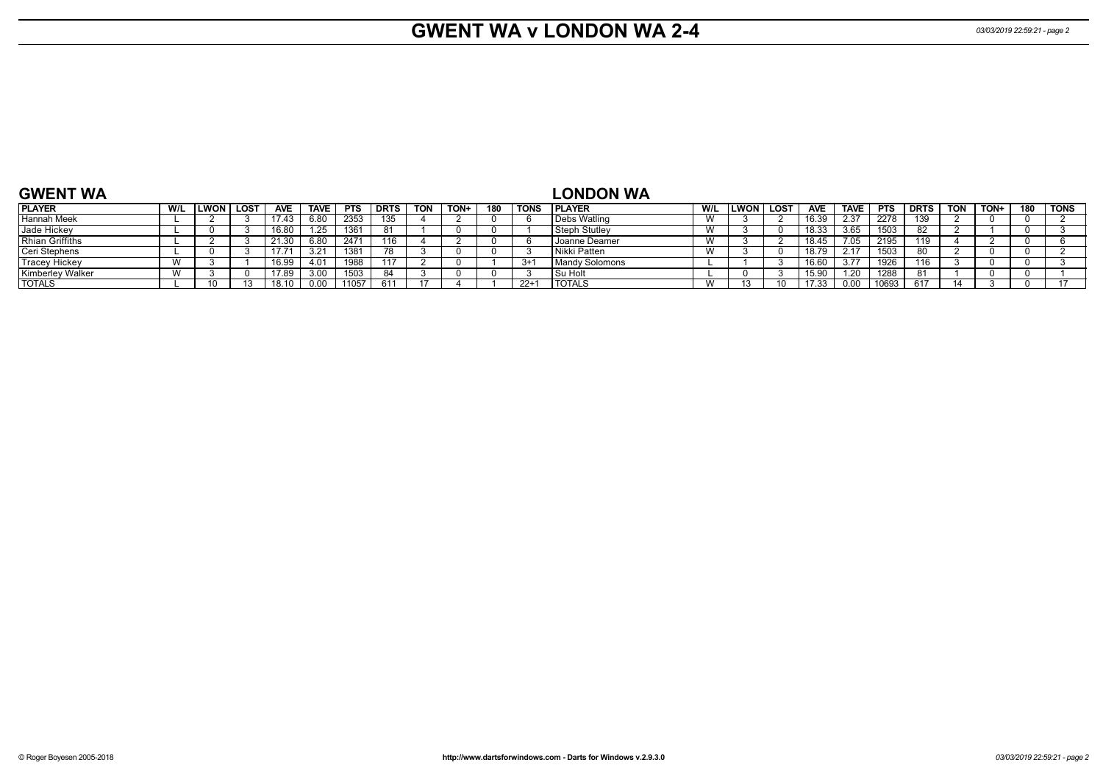# **GWENT WA v LONDON WA 2-4** *03/03/2019 22:59:21 - page 2*

| <b>GWENT WA</b>         |     |             |            |             |            |             |            |             |     |        | <b>_ONDON WA</b>         |                         |        |      |            |             |            |             |            |      |     |             |
|-------------------------|-----|-------------|------------|-------------|------------|-------------|------------|-------------|-----|--------|--------------------------|-------------------------|--------|------|------------|-------------|------------|-------------|------------|------|-----|-------------|
| <b>PLAYER</b>           | W/L | LWON   LOST | <b>AVE</b> | <b>TAVE</b> | <b>PTS</b> | <b>DRTS</b> | <b>TON</b> | <b>TON-</b> | 180 | TONS   | PLAYER                   | W/L                     | LWON l | LOST | <b>AVE</b> | <b>TAVE</b> | <b>PTS</b> | <b>DRTS</b> | <b>TON</b> | TON+ | 180 | <b>TONS</b> |
| <b>Hannah Meek</b>      |     |             | 17.43      | 6.80        | 2353       | 135         |            |             |     |        | Debs Watling             | <b>VV</b>               |        |      | 16.39      | 2.37        | 2278       | 139         |            |      |     |             |
| Jade Hickey             |     |             | 16.80      | 1.25        | 1361       |             |            |             |     |        | <b>Steph Stutley</b>     | <b>VV</b>               |        |      | 18.33      | 3.65        | 1503       |             |            |      |     |             |
| <b>Rhian Griffiths</b>  |     |             | 21.30      | 6.80        | 247'       | 116         |            |             |     |        | Joanne Deamer            | <b>VV</b>               |        |      | 18.45      | .05         | 2195       | '19         |            |      |     |             |
| Ceri Stephens           |     |             | 17.71      |             | 138        |             |            |             |     |        | l Nikki Patten           | <b>VV</b>               |        |      | 18.79      |             | 1503       |             |            |      |     |             |
| <b>Tracey Hickey</b>    |     |             | 16.99      | 4.01        | 1988       |             |            |             |     | $3+^2$ | l Mandv Solomons         |                         |        |      | 16.60      |             | 1926       | '16         |            |      |     |             |
| <b>Kimberley Walker</b> |     |             | 17.89      | 3.00        | 1503       |             |            |             |     |        | Su Holt                  |                         |        |      | 15.90      | .20         | 1288       |             |            |      |     |             |
| <b>TOTALS</b>           |     |             | 18.10      |             | 11057      |             |            |             |     | $22+$  | <b>TOTAL</b> C<br>IUIALS | <b>181</b><br><b>VV</b> |        |      | 17.33      | 0.00        | 0693       | 617         |            |      |     |             |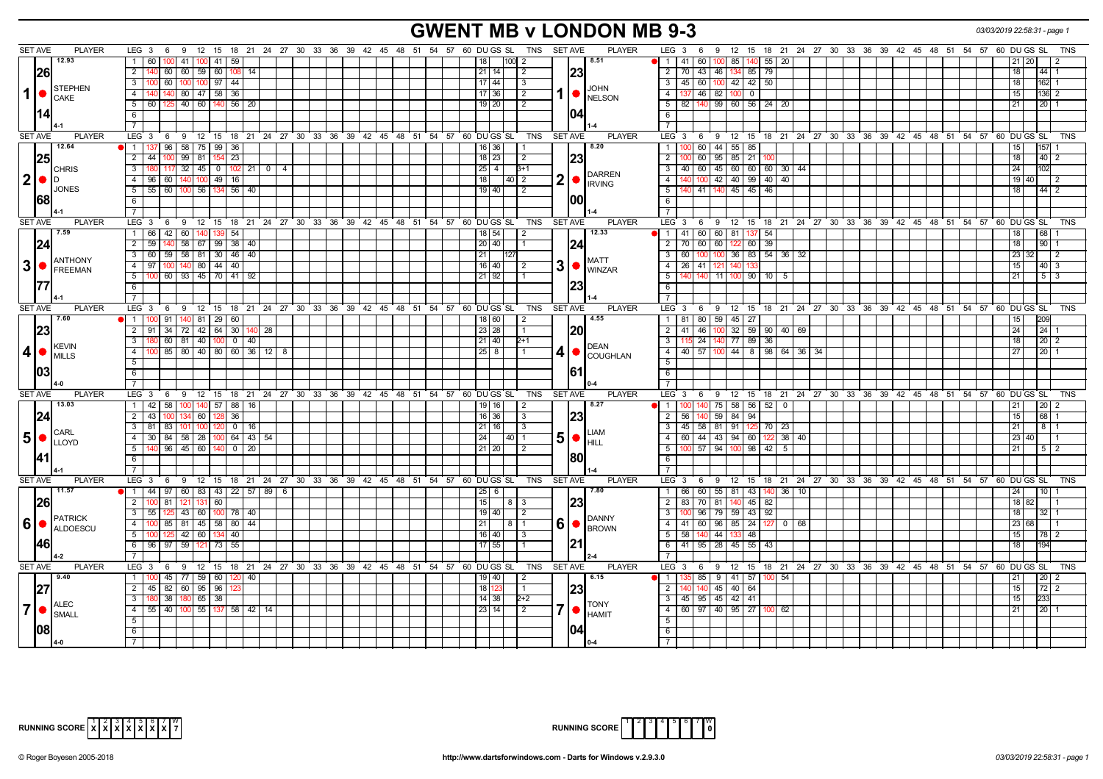# **GWENT MB v LONDON MB 9-3** *03/03/2019 22:58:31 - page 1*

| <b>SET AVE</b><br><b>PLAYER</b>                                       | LEG $3 \quad 6$                                                            |                              | 9 12 15 18 21 24 27 30 33 36 39 42 45 48 51 54 57 60 DUGS SL TNS SETAVE                             | <b>PLAYER</b><br>6 9 12 15 18 21 24 27 30 33 36 39 42 45 48 51 54 57 60 DUGS SL<br>LEG 3<br>TNS                         |
|-----------------------------------------------------------------------|----------------------------------------------------------------------------|------------------------------|-----------------------------------------------------------------------------------------------------|-------------------------------------------------------------------------------------------------------------------------|
| 12.93                                                                 | 41   100   41<br>59<br>1 60                                                |                              | 8.51<br>$1100$ 2<br>18                                                                              | 41<br>60<br>$140$ 55 20<br>85<br>21 20<br>$\vert 2 \vert$<br>$\overline{1}$                                             |
| 26                                                                    | 2   140   60   60   59   60   108   14                                     |                              | 23<br>$21$ 14<br>$\vert$ 2                                                                          | 2   70   43   46   134   85   79  <br>18<br>$44$ 1                                                                      |
|                                                                       | $3 \mid 100$<br>60   100   100   97   44                                   |                              | 17   $44$<br>3                                                                                      | 3   45   60   100   42   42   50  <br>$162$ 1<br>18 <sup>1</sup>                                                        |
| <b>STEPHEN</b><br>$1  \bullet  _{\text{CAKE}}$                        | 4   140   140   80   47   58   36                                          |                              | <b>JOHN</b><br>$17 \mid 36$<br>l 2                                                                  | $146$ 82 100 0<br>4   137<br>15 <sup>1</sup><br>136 2                                                                   |
|                                                                       | $5 \mid 60 \mid 125 \mid 40 \mid 60 \mid 140 \mid 56 \mid 20$              |                              | $19$ 20<br>$\overline{2}$                                                                           | <b>NELSON</b><br>$5 \mid 82 \mid 140 \mid 99 \mid 60 \mid 56 \mid 24 \mid 20$<br>$20$   1<br>21                         |
| 114                                                                   | 6                                                                          |                              | 104                                                                                                 | 6                                                                                                                       |
|                                                                       | $\overline{7}$                                                             |                              |                                                                                                     | $\overline{7}$                                                                                                          |
| <b>SET AVE</b><br><b>PLAYER</b>                                       |                                                                            |                              | LEG 3 6 9 12 15 18 21 24 27 30 33 36 39 42 45 48 51 54 57 60 DUGS SL<br>TNS<br><b>SET AVE</b>       | 6 9 12 15 18 21 24 27 30 33 36 39 42 45 48 51 54 57 60 DUGS SL<br><b>PLAYER</b><br>LEG 3<br><b>TNS</b>                  |
| 12.64                                                                 | 96<br>58 75 99<br>36                                                       |                              | 8.20<br>16 36                                                                                       | 60 44 55 85<br>$\overline{1}$<br>15 <sup>1</sup><br>157                                                                 |
| 25                                                                    | $2 \mid 44$<br>$99$ 81<br>23<br>10 <sub>C</sub><br>154                     |                              | 23<br>$18 \mid 23$<br>l 2                                                                           | 60 95 85 21 100<br>18<br>40<br>$\overline{2}$<br>2                                                                      |
| <b>CHRIS</b>                                                          | $3 \mid 180$<br>$117 \t32 \t45 \t0$                                        | $102$ 21 0<br>$\overline{4}$ | $25 \mid 4 \mid$<br>$B+1$                                                                           | 3 40 60 45 60 60 60 30 44<br>24<br>102<br><b>DARREN</b>                                                                 |
| 2 •<br>ID                                                             | 4 96<br>60<br>140 100 49<br>16                                             |                              | $\overline{\mathbf{2}}$<br>18<br> 40  2                                                             | 100 42 40 99 40 40<br>$\overline{4}$<br>19 40<br><b>IRVING</b>                                                          |
| <b>JONES</b>                                                          | $5 \mid 55 \mid 60 \mid 100 \mid 56 \mid 134 \mid 56 \mid 40$              |                              | $19$ 40<br>$\vert$ 2                                                                                | 41   140   45   45   46<br>5<br>$44 \overline{2}$<br>18                                                                 |
| 68                                                                    | 6                                                                          |                              | 100                                                                                                 | 6                                                                                                                       |
|                                                                       | <b>7</b> I                                                                 |                              |                                                                                                     | $\overline{7}$                                                                                                          |
| <b>SET AVE</b><br><b>PLAYER</b>                                       | $LEG_3$ 6                                                                  |                              | 9 12 15 18 21 24 27 30 33 36 39 42 45 48 51 54 57 60 DUGS SL<br>TNS<br><b>SET AVE</b>               | <b>PLAYER</b><br>LEG <sup>3</sup><br>6 9 12 15 18 21 24 27 30 33 36 39 42 45 48 51 54 57 60 DUGS SL<br><b>TNS</b>       |
| 7.59                                                                  | 1 66<br>$\overline{42}$   60  <br>54<br>140 I<br>139                       |                              | 12.33<br>18 54<br>-2                                                                                | 68<br>1   41   60   60   81   137   54<br>18 <sup>1</sup>                                                               |
| 124                                                                   | $2 \mid 59$<br>58 67 99 38 40                                              |                              | 20 40<br>124<br>-1                                                                                  | $\overline{2}$<br>70<br>60 60<br>60 39<br>18<br>90<br>122                                                               |
| <b>ANTHONY</b>                                                        | 59 58 81 30 46 40<br>$3 \mid 60$                                           |                              | 21<br><b>MATT</b>                                                                                   | 36 83 54 36 32<br>60<br>$\overline{23}$<br>$3^{\circ}$<br>100 100<br>$\sqrt{2}$<br>32                                   |
| $3$ $\bullet$ $\beta$ $\beta$ $\beta$ $\beta$ $\beta$ $\beta$ $\beta$ | 4   97   100   140   80   44   40                                          |                              | 3<br>$16$ 40<br>l 2                                                                                 | 4   26   41   121   140<br>$40 \mid 3$<br>15 <sup>1</sup><br><b>WINZAR</b><br>14                                        |
|                                                                       | 60   93   45   70   41   92<br>$5 \, 100$                                  |                              | $21$ 92                                                                                             | 5<br>140 11 100 90 10<br>21<br>5<br>5 <sub>1</sub>                                                                      |
|                                                                       | 6<br>$7^{\circ}$                                                           |                              |                                                                                                     | 6<br>$\overline{7}$                                                                                                     |
| <b>PLAYER</b><br><b>SET AVE</b>                                       | $LEG_36$                                                                   |                              | 9 12 15 18 21 24 27 30 33 36 39 42 45 48 51 54 57 60 DUGS SL<br><b>SET AVE</b><br>TNS               | <b>PLAYER</b><br>LEG 3<br>12 15 18 21 24 27 30 33 36 39 42 45 48 51 54 57 60 DUGS SL<br><b>TNS</b><br>6 9               |
| 7.60                                                                  | $91 \mid 140 \mid 81 \mid 29 \mid 60 \mid$<br>$1 \mid 100$                 |                              | 4.55<br>18 60 <br>l 2                                                                               | 1   81   80   59   45   27<br>209<br>15 <sup>1</sup>                                                                    |
| 23                                                                    | 2 91 34 72 42 64 30                                                        | 40 28                        | 23 28<br> 20<br>l 1                                                                                 | $2$   41  <br>$146$   1<br>100 32 59 90 40 69<br>24<br>24                                                               |
|                                                                       | 60 81 40 100<br>3   180                                                    | 0 1 40                       | $21$ 40<br>$2+1$                                                                                    | 115 24 140 77 89 36<br>$\overline{\mathbf{3}}$<br>18<br>$20\overline{2}$                                                |
| <b>KEVIN</b><br>$ 4  \bullet  _{\text{MILLS}}^{\text{new}}$           | 85 80 40 80 60 36 12 8<br>4 I                                              |                              | DEAN<br>$25 \mid 8$<br>4                                                                            | 4 4 57 100 44 8 98 64 36 34<br>27<br>$20$   1                                                                           |
|                                                                       | $\overline{5}$                                                             |                              |                                                                                                     | <b>COUGHLAN</b><br>5                                                                                                    |
| 03                                                                    | 6                                                                          |                              | 161                                                                                                 | 6                                                                                                                       |
|                                                                       |                                                                            |                              |                                                                                                     |                                                                                                                         |
| <b>SET AVE</b><br><b>PLAYER</b>                                       | $LEG_36$                                                                   |                              | 9 12 15 18 21 24 27 30 33 36 39 42 45 48 51 54 57 60 DUGSSL<br><b>TNS</b><br><b>SET AVE</b>         | <b>PLAYER</b><br>$LEG$ 3<br>6 9 12 15 18 21 24 27 30 33 36 39 42 45 48 51 54 57 60 DUGSSL<br><b>TNS</b>                 |
| 13.03                                                                 | 1 42 58 100 140 57 88 16                                                   |                              | 8.27<br>19   16  <br>l 2                                                                            | 140 75 58 56 52 0<br>11<br>211<br>20 <sub>2</sub>                                                                       |
| 24                                                                    | 2 43<br>60<br>36                                                           |                              | 23<br>$16$ 36<br>-3                                                                                 | $\overline{2}$<br>56<br>140 59 84 94<br>68<br>15 <sup>1</sup>                                                           |
| <b>CARL</b>                                                           | 3 81<br>83<br>100<br>1011                                                  | $0$ 16                       | 21 16<br>$\vert 3 \vert$<br>I IAM                                                                   | 3   45   58   81   91   125   70   23<br>21<br>$8 \mid 1$                                                               |
| $5 \cdot \frac{1}{\sqrt{10}}$                                         | 4 30 84 58 28 100                                                          | 64   43   54                 | 5 <sup>1</sup><br> 24 <br>40   1<br>HILL                                                            | 4 60 44 43 94 60 122 38 40<br>23 40                                                                                     |
|                                                                       | $96$   45   60   140<br>5                                                  | $0 \mid 20$                  | 21 20 <br>$\sqrt{2}$                                                                                | 57   94   100   98   42  <br>5 <sup>5</sup><br>21<br>100<br>- 5<br>5   2                                                |
| 41                                                                    | 6                                                                          |                              | 180                                                                                                 | 6                                                                                                                       |
| <b>SET AVE</b>                                                        | 7 <sup>1</sup>                                                             |                              | <b>TNS</b>                                                                                          | $\overline{7}$<br><b>PLAYER</b><br>$LEG^{\cdot}$ 3                                                                      |
| <b>PLAYER</b><br>11.57                                                |                                                                            |                              | LEG 3 6 9 12 15 18 21 24 27 30 33 36 39 42 45 48 51 54 57 60 DUGS SL<br><b>SET AVE</b><br>7.80<br>6 | 6 9 12 15 18 21 24 27 30 33 36 39 42 45 48 51 54 57 60 DUGS SL<br><b>TNS</b><br>10 <sup>1</sup>                         |
|                                                                       | $1 \mid 44 \mid 97 \mid$<br>60 83 43 22 57 89<br>2 100<br>81<br>121 131 60 | 6                            | 25<br>15<br>813                                                                                     | 60 55 81 43<br>$ 40 $ 36<br>$\overline{1}$<br>66<br>10<br>24<br>83<br>2 <sup>1</sup><br>70   81<br>140 45 82<br>18 82   |
| 126                                                                   | $3 \mid 55$<br>43 60 100 78 40                                             |                              | 23<br>19   40 <br>$\sqrt{2}$                                                                        | 96 79 59 43 92<br>3<br>32<br>18 <sup>1</sup>                                                                            |
| PATRICK<br>6 •                                                        | 4 100<br>85<br>81 45 58 80 44                                              |                              | 6<br>21<br>8   1                                                                                    | <b>DANNY</b><br>$\sqrt{41}$<br>60 96 85 24 127 0<br>23 68<br>4 <sup>1</sup><br>68                                       |
| ALDOESCU                                                              | 42 60 134<br>5 100<br>40<br>125                                            |                              | 16   40  <br>l 3                                                                                    | <b>BROWN</b><br>5 <sup>5</sup><br>58<br>140 44<br> 48 <br>133<br>15  <br>$\begin{array}{c c} \hline 78 & 2 \end{array}$ |
| 146                                                                   | 6 96 97<br>59<br>121 73<br>55                                              |                              | 17 55                                                                                               | 6 41 95 28 45 55 43<br>194<br>18 <sup>1</sup>                                                                           |
|                                                                       | 7 <sup>1</sup>                                                             |                              |                                                                                                     | $\overline{7}$                                                                                                          |
| <b>SET AVE</b><br><b>PLAYER</b>                                       | LEG <sub>3</sub><br><b>9</b><br>6                                          |                              | 12 15 18 21 24 27 30 33 36 39 42 45 48 51 54 57 60 DUGS SL<br>TNS<br><b>SET AVE</b>                 | <b>PLAYER</b><br>LEG 3<br>12 15 18 21 24 27 30 33 36 39 42 45 48 51 54 57<br>60 DU GS SL<br><b>TNS</b><br>6<br>9        |
| 9.40                                                                  | 45   77   59   60   120   40  <br>1 100                                    |                              | 6.15<br>19 40<br>2                                                                                  | 85 9 41 57 100 54<br>$20 \mid 2$<br>$\overline{1}$<br>21                                                                |
|                                                                       | 82 60 95 96<br>2   45                                                      |                              | 18<br> 23<br>$\overline{1}$                                                                         | 45 40 64<br>$72$ 2<br>2<br>15 <sup>1</sup>                                                                              |
|                                                                       | 38<br>$180$ 65 $38$<br>3   180                                             |                              | $14$ 38<br>$2 + 2$                                                                                  | 3 45 95 45 42 41<br>15 <sup>1</sup><br>233                                                                              |
| <b>ALEC</b><br>7 •<br>SMALL                                           | 4 55 40 100 55 137 58 42 14                                                |                              | <b>TONY</b><br>23 14 <br>$\vert$ 2                                                                  | $4$ 60 97 40 95 27 100 62<br>21<br>$20$ 1<br><b>HAMIT</b>                                                               |
|                                                                       | 5                                                                          |                              |                                                                                                     | 5                                                                                                                       |
| 108                                                                   | 6                                                                          |                              |                                                                                                     | 6                                                                                                                       |
|                                                                       |                                                                            |                              |                                                                                                     |                                                                                                                         |



| $=$ $\lceil \rceil$ $\lceil \rceil$ $\lceil \rceil$ $\lceil \rceil$ $\lceil \rceil$ $\lceil \rceil$ $\lceil \rceil$ $\lceil \rceil$ $\lceil \rceil$<br><b>RUNNING SCORE</b> |  |  |  |  |  |  |
|-----------------------------------------------------------------------------------------------------------------------------------------------------------------------------|--|--|--|--|--|--|
|-----------------------------------------------------------------------------------------------------------------------------------------------------------------------------|--|--|--|--|--|--|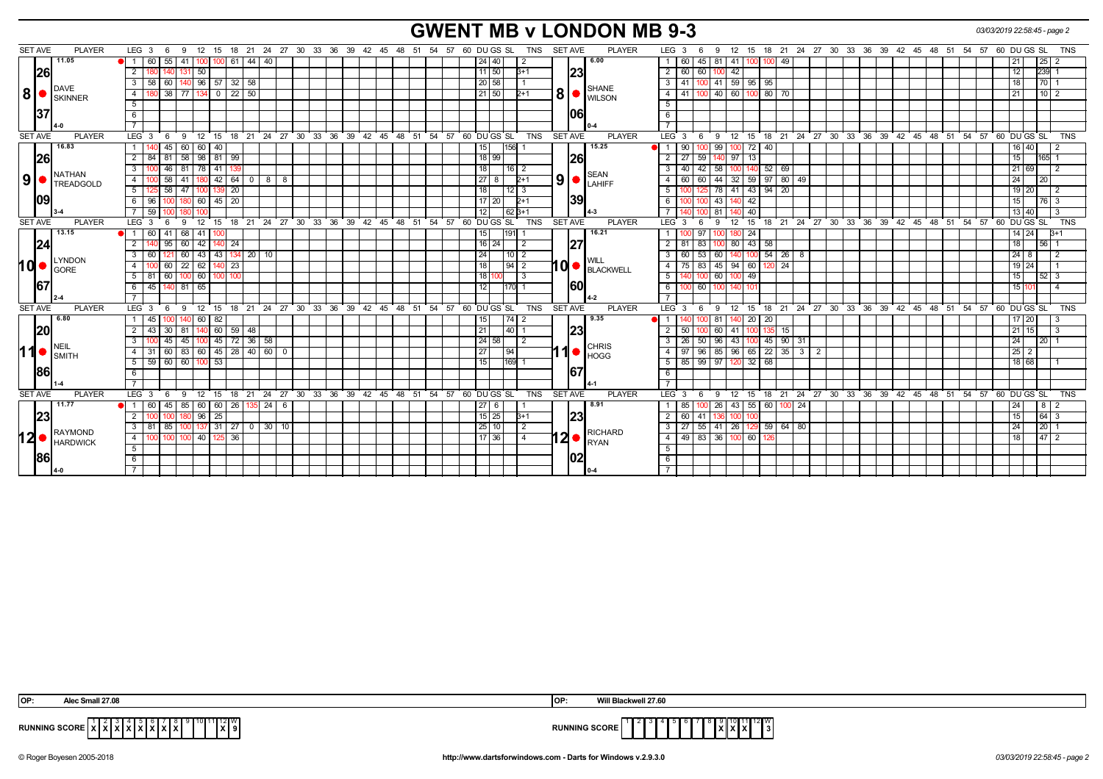# **GWENT MB v LONDON MB 9-3** *03/03/2019 22:58:45 - page 2*

| <b>SET AVE</b> | <b>PLAYER</b>              | LEG <sub>3</sub><br>6<br>9                      |                                   |                  |                                                 |  | 12 15 18 21 24 27 30 33 36 39 42 45 48 51 54 57 60 DUGS SL<br>TNS         | <b>SET AVE</b><br><b>PLAYER</b>                                                                                                                                                                                                                                                                                                       | 9 12 15 18 21 24 27 30 33 36 39 42 45 48 51 54 57 60 DU GS SL<br>LEG 3<br>- 6              | TNS                               |
|----------------|----------------------------|-------------------------------------------------|-----------------------------------|------------------|-------------------------------------------------|--|---------------------------------------------------------------------------|---------------------------------------------------------------------------------------------------------------------------------------------------------------------------------------------------------------------------------------------------------------------------------------------------------------------------------------|--------------------------------------------------------------------------------------------|-----------------------------------|
|                | 11.05                      | 60<br>55<br>41 I                                | $61 \ 44$<br>100 100              | 40               |                                                 |  | 24 40<br>-2                                                               | 6.00                                                                                                                                                                                                                                                                                                                                  | 81 41 100<br>49<br>60   45  <br>100 I<br>$\mathbf{1}$                                      | $25 \mid 2$<br>21 <sub>1</sub>    |
|                | <b>26</b>                  | $\overline{2}$<br>50                            |                                   |                  |                                                 |  | 11150<br>$B+1$                                                            | 23                                                                                                                                                                                                                                                                                                                                    | $\overline{2}$<br>60   60<br>42<br>100                                                     | 12 <sub>1</sub><br>239 1          |
|                |                            | 58 60<br>3 I                                    | $140$ 96 57 32 58                 |                  |                                                 |  | 20 58                                                                     |                                                                                                                                                                                                                                                                                                                                       | $\overline{\phantom{a}3}$<br>41   100   41   59   95   95                                  | 18<br>70 1                        |
| 8 <sup>1</sup> | DAVE<br><b>SKINNER</b>     | 80 38<br>$\overline{4}$<br>77   134   0         | $22 \mid 50$                      |                  |                                                 |  | 21 50 <br>$2+1$                                                           | <b>SHANE</b><br>$ 8 $ $\bullet$ $\frac{1}{2}$ $\frac{1}{2}$ $\frac{1}{2}$ $\frac{1}{2}$ $\frac{1}{2}$ $\frac{1}{2}$ $\frac{1}{2}$ $\frac{1}{2}$ $\frac{1}{2}$ $\frac{1}{2}$ $\frac{1}{2}$ $\frac{1}{2}$ $\frac{1}{2}$ $\frac{1}{2}$ $\frac{1}{2}$ $\frac{1}{2}$ $\frac{1}{2}$ $\frac{1}{2}$ $\frac{1}{2}$ $\frac{1}{2}$ $\frac{1}{2}$ | $ 00 $ 80   70<br>$-4$<br>40 60 1<br>41   100                                              | $10$   2<br>211                   |
|                |                            | 5                                               |                                   |                  |                                                 |  |                                                                           |                                                                                                                                                                                                                                                                                                                                       | 5                                                                                          |                                   |
|                | 37                         | 6                                               |                                   |                  |                                                 |  |                                                                           | 106                                                                                                                                                                                                                                                                                                                                   | 6                                                                                          |                                   |
|                |                            |                                                 |                                   |                  |                                                 |  |                                                                           |                                                                                                                                                                                                                                                                                                                                       | $\overline{7}$                                                                             |                                   |
| <b>SET AVE</b> | <b>PLAYER</b>              | LEG <sub>3</sub><br>6                           |                                   |                  |                                                 |  | 9 12 15 18 21 24 27 30 33 36 39 42 45 48 51 54 57 60 DUGSSL<br><b>TNS</b> | <b>SET AVE</b><br><b>PLAYER</b>                                                                                                                                                                                                                                                                                                       | $LEG \ 3 \ 6$<br>9 12 15 18 21 24 27 30 33 36 39 42 45 48 51 54 57 60 DUGSSL TNS           |                                   |
|                | 16.83                      | 60 60 40<br>45<br>- 1 - I                       |                                   |                  |                                                 |  | 156 1<br> 15                                                              | 15.25                                                                                                                                                                                                                                                                                                                                 | 99 100 72 40<br>90   100<br>11                                                             | 16 40                             |
|                | <b>26</b>                  | 2 <sup>1</sup><br>84 81<br>58 98 81             | 99                                |                  |                                                 |  | 18 99                                                                     | <b>26</b>                                                                                                                                                                                                                                                                                                                             | $\overline{2}$<br>27   59<br>140 97 13                                                     | 15<br>$165 - 1$                   |
|                |                            | 46<br>78<br>$\overline{3}$<br>81                | 41                                |                  |                                                 |  | 18<br>$16$   2                                                            |                                                                                                                                                                                                                                                                                                                                       | 58<br>$52$ 69<br>$\overline{\mathbf{3}}$<br>40<br>$\sqrt{42}$                              | 21 69                             |
| 9              | <b>NATHAN</b><br>TREADGOLD | $100$ 58<br>4 I                                 | $141$   180   42   64   0   8   8 |                  |                                                 |  | 27<br>8<br>$2+1$                                                          | <b>SEAN</b><br>$\vert 9 \vert$ $\bullet$ $\vert_{\text{LAHIFF}}^{\text{SEAN}}$                                                                                                                                                                                                                                                        | 44 32 59 97 80 49<br>$\overline{4}$<br>60 60                                               | 24<br>20                          |
|                |                            | $5-$<br>125 58 47 100 139 20                    |                                   |                  |                                                 |  | 18<br>$12$   3                                                            |                                                                                                                                                                                                                                                                                                                                       | 78 41 43 94 20<br>5 <sup>5</sup><br>100  125                                               | 19 20                             |
|                | 109                        | - 6 I<br>96                                     | 60 45 20                          |                  |                                                 |  | $\sqrt{17}$ 20<br>$2+1$                                                   | 39                                                                                                                                                                                                                                                                                                                                    | 43<br>6<br>$9 \overline{42}$                                                               | 15 <sup>1</sup><br>$176$ 3        |
|                |                            | 7 59 100                                        |                                   |                  |                                                 |  | 12<br>62 3+1                                                              |                                                                                                                                                                                                                                                                                                                                       | 81 140 40                                                                                  | 13 40                             |
| <b>SET AVE</b> | <b>PLAYER</b>              | LEG <sub>3</sub><br>- 6<br>-9                   |                                   |                  | 12 15 18 21 24 27 30 33 36 39 42 45 48 51 54 57 |  | 60 DU GS SL<br><b>TNS</b>                                                 | <b>SET AVE</b><br><b>PLAYER</b>                                                                                                                                                                                                                                                                                                       | LEG <sub>3</sub><br>12 15 18 21 24 27 30 33 36 39 42 45 48 51 54 57 60 DUGS SL<br>9<br>- 6 | <b>TNS</b>                        |
|                | 13.15                      | 11<br>60<br>68                                  |                                   |                  |                                                 |  | 191<br>15                                                                 | 16.21                                                                                                                                                                                                                                                                                                                                 | $\overline{1}$<br>-24                                                                      | 14 24                             |
|                | 24                         | 95<br>2 I                                       | 60 42 140 24                      |                  |                                                 |  | 16 24<br>$\frac{12}{2}$                                                   | 27                                                                                                                                                                                                                                                                                                                                    | 80 43 58<br>$\overline{2}$<br>$81 \mid 83$<br>1001                                         | 18<br>15611                       |
|                |                            | 3 I<br>60                                       | 60 43 43 134 20 10                |                  |                                                 |  | 24<br>$10$   2                                                            |                                                                                                                                                                                                                                                                                                                                       | $140$ 100 54 26 8<br>$\overline{3}$<br>60 53<br>60                                         | $24 \overline{8}$                 |
| <b>hol</b>     | <b>LYNDON</b>              | $22   62  $<br>4<br>60                          | 140<br>23                         |                  |                                                 |  | 18<br> 94 2                                                               | 10 BLACKWELL                                                                                                                                                                                                                                                                                                                          | $45$ 94 60<br>$\overline{4}$<br>$120$ 24<br>$75 \mid 83$                                   | 19 24                             |
|                | GORE                       | $5$   81   60   100   60   100   100            |                                   |                  |                                                 |  | 18<br>$\overline{3}$                                                      |                                                                                                                                                                                                                                                                                                                                       | 5<br>60 100 49<br>140 100                                                                  | 15<br>$52 \overline{3}$           |
|                | 167                        | 45 140 81 65<br>61                              |                                   |                  |                                                 |  | 12<br>$170$ 1                                                             | <b>160</b>                                                                                                                                                                                                                                                                                                                            | $6\overline{6}$<br>100<br>$100$ 60<br>140 101                                              | 15 10                             |
|                |                            |                                                 |                                   |                  |                                                 |  |                                                                           |                                                                                                                                                                                                                                                                                                                                       | $\overline{7}$                                                                             |                                   |
| <b>SET AVE</b> | <b>PLAYER</b>              | LEG <sub>3</sub><br>$^{\circ}$ 12<br>9<br>6     |                                   |                  |                                                 |  | 15 18 21 24 27 30 33 36 39 42 45 48 51 54 57 60 DUGSSL<br><b>TNS</b>      | SET AVE<br><b>PLAYER</b>                                                                                                                                                                                                                                                                                                              | 18 21 24 27 30 33 36 39 42 45 48 51 54 57 60 DUGS SL<br>LEG 3<br>12 15<br>9<br>6           | <b>TNS</b>                        |
|                | 6.80                       | 45<br>140                                       | 60   82                           |                  |                                                 |  | 74 2<br>  15                                                              | 9.35                                                                                                                                                                                                                                                                                                                                  | $140$ 20 20<br>81<br>$\overline{1}$                                                        | $17 \mid 20$                      |
|                | 20                         | 2<br>30<br>43<br>81                             | 140  60  <br>$59 \mid 48$         |                  |                                                 |  | 21<br> 40                                                                 | 23                                                                                                                                                                                                                                                                                                                                    | 60<br>$\overline{2}$<br>41<br>-50 l<br>135<br>15                                           | $21 \ 15$                         |
|                |                            | $\mathbf{3}$<br>45                              | 45 100 45 72 36 58                |                  |                                                 |  | 24 58<br>$\vert$ 2                                                        |                                                                                                                                                                                                                                                                                                                                       | 96 43 100 45 90 31<br>$\overline{\mathbf{3}}$<br>$26$   50                                 | 24<br>20 <sub>1</sub>             |
| 11             | NEIL<br><b>SMITH</b>       | $31$ 60 83 60 45 28 40 60 0<br>4 I              |                                   |                  |                                                 |  | 27<br> 94                                                                 | <b>CHRIS</b><br>1<br>I <sup>O</sup> IHOGG                                                                                                                                                                                                                                                                                             | $85 \ 96 \ 65 \ 22 \ 35 \ 3 \ 2$<br>$\overline{4}$<br>$97$ 96                              | $\overline{25}$ $\overline{2}$    |
|                |                            | 59 60 60 100 53<br>5                            |                                   |                  |                                                 |  | 15<br>169                                                                 |                                                                                                                                                                                                                                                                                                                                       | $97$ 120 32 68<br>85   99<br>5                                                             | 18 68                             |
|                | <b>86</b>                  | 6                                               |                                   |                  |                                                 |  |                                                                           | 167                                                                                                                                                                                                                                                                                                                                   | 6                                                                                          |                                   |
|                |                            |                                                 |                                   |                  |                                                 |  |                                                                           |                                                                                                                                                                                                                                                                                                                                       |                                                                                            |                                   |
| <b>SET AVE</b> | <b>PLAYER</b>              | LEG <sub>3</sub><br>9<br>6                      |                                   |                  |                                                 |  | 12 15 18 21 24 27 30 33 36 39 42 45 48 51 54 57 60 DUGS SL<br>TNS         | <b>PLAYER</b><br><b>SET AVE</b>                                                                                                                                                                                                                                                                                                       | 9 12 15 18 21 24 27 30 33 36 39 42 45 48 51 54 57 60 DUGSSL<br>$LEG_3$ 6                   | <b>TNS</b>                        |
|                | 11.77                      | 1 60 45<br>85 60 60                             |                                   | $26$ 135 24<br>6 |                                                 |  | 27 6                                                                      | 8.91                                                                                                                                                                                                                                                                                                                                  | $26$ 43 55 60 100 24<br>85   100<br>$\mathbf{1}$                                           | 24 <sup>1</sup><br>8 <sup>2</sup> |
|                | 1231                       | 2 <sup>1</sup><br>100 I<br>100                  | $96 \mid 25$                      |                  |                                                 |  | 15 25 <br>$3+1$                                                           | 23                                                                                                                                                                                                                                                                                                                                    | $\overline{2}$<br>60 41 136 100 1                                                          | 15 <sup>1</sup><br>64 3           |
|                |                            | 100 137 31<br>3 I<br>81   85                    |                                   | 27   0   30   10 |                                                 |  | 25 10<br>-2                                                               |                                                                                                                                                                                                                                                                                                                                       | 27   55   41   26   129   59   64   80<br>$\mathbf{3}$                                     | 24 <sup>1</sup><br>$20$   1       |
| 12             | <b>RAYMOND</b>             | $\vert$ 40 $\vert$<br>4 I<br>100<br>100.<br>100 | 36<br>125                         |                  |                                                 |  | 17 36<br>$\vert$ 4                                                        | <b>RICHARD</b><br><b>2●</b>                                                                                                                                                                                                                                                                                                           | $49$ 83 36 100 60<br>$\overline{4}$                                                        | 18<br>$47$   2                    |
|                | HARDWICK                   | 5 <sup>5</sup>                                  |                                   |                  |                                                 |  |                                                                           | <b>RYAN</b>                                                                                                                                                                                                                                                                                                                           | 5                                                                                          |                                   |
|                |                            | 6                                               |                                   |                  |                                                 |  |                                                                           | 102                                                                                                                                                                                                                                                                                                                                   | 6                                                                                          |                                   |
|                |                            |                                                 |                                   |                  |                                                 |  |                                                                           |                                                                                                                                                                                                                                                                                                                                       | $\overline{7}$                                                                             |                                   |
|                |                            |                                                 |                                   |                  |                                                 |  |                                                                           |                                                                                                                                                                                                                                                                                                                                       |                                                                                            |                                   |

| <b>OP</b>    | .<br>l 27.08 | <b>IOP</b>     | ell 27.60<br><b>Mill Place</b> |
|--------------|--------------|----------------|--------------------------------|
| <b>RUNNI</b> |              | <b>RUNNING</b> | SCORI<br>^                     |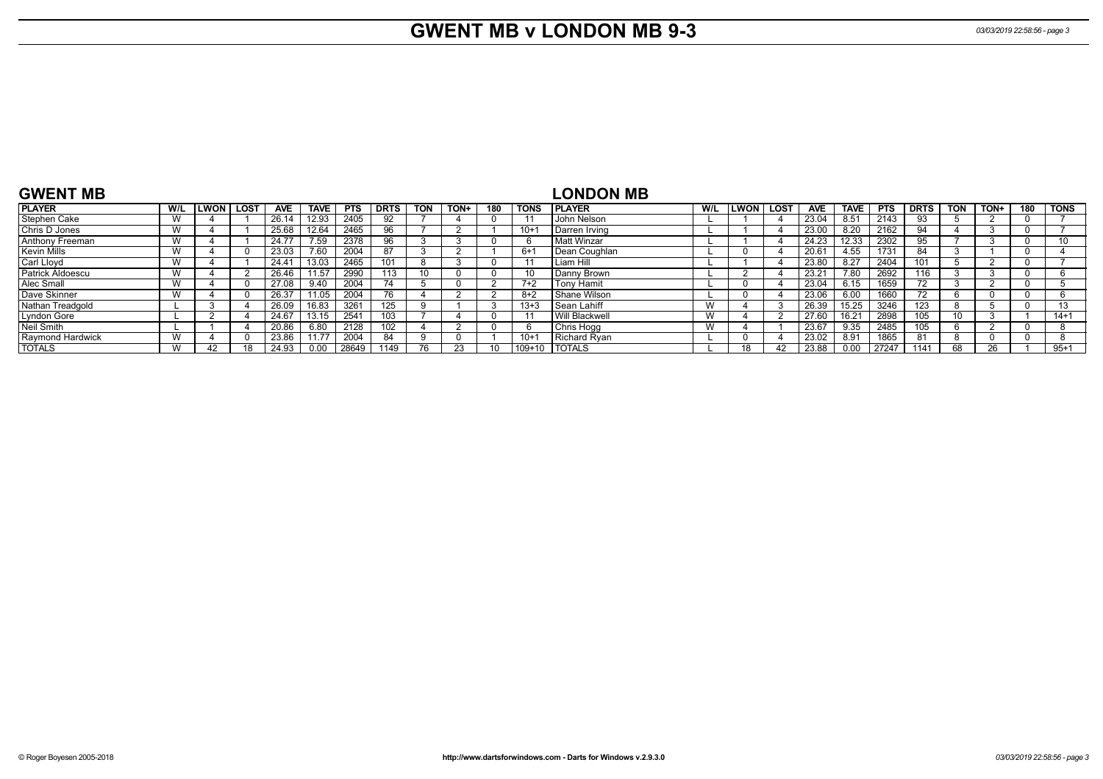# **GWENT MB v LONDON MB 9-3** *03/03/2019 22:58:56 - page 3*

| <b>GWENT MB</b>         |     |        |             |            |             |            |             |            |      |     |             | <b>LONDON MB</b>     |     |                  |                   |             |            |             |            |      |     |          |
|-------------------------|-----|--------|-------------|------------|-------------|------------|-------------|------------|------|-----|-------------|----------------------|-----|------------------|-------------------|-------------|------------|-------------|------------|------|-----|----------|
| <b>PLAYER</b>           | W/L | LWON I | <b>LOST</b> | <b>AVE</b> | <b>TAVE</b> | <b>PTS</b> | <b>DRTS</b> | <b>TON</b> | TON+ | 180 | <b>TONS</b> | <b>IPLAYER</b>       | W/L | <b>LWON LOST</b> | <b>AVE</b>        | <b>TAVE</b> | <b>PTS</b> | <b>DRTS</b> | <b>TON</b> | TON+ | 180 | TONS     |
| Stephen Cake            |     |        |             | 26.14      | 12.93       | 2405       | 92          |            |      |     |             | John Nelson          |     |                  | 23.04             | 8.51        | 2143       | 93          |            |      |     |          |
| <b>Chris D Jones</b>    |     |        |             | 25.68      | 12.64       | 2465       | 96          |            |      |     | $10+$       | <b>Darren Irving</b> |     |                  | 23.00             | 8.20        | 2162       | 94          |            |      |     |          |
| Anthony Freeman         |     |        |             | 24.7       | 7.59        | 2378       | 96          |            |      |     |             | Matt Winzar          |     |                  | 24.23             | 12.33       | 2302       | 95          |            |      |     |          |
| <b>Kevin Mills</b>      |     |        |             | 23.03      | 7.60        | 2004       |             |            |      |     | $6+$        | Dean Coughlan        |     |                  | 20.6 <sup>4</sup> | 4.55        | 1731       | 84          |            |      |     |          |
| Carl Lloyd              |     |        |             | 24.4       | 13.03       | 2465       | 101         | 8          |      |     |             | Liam Hill            |     |                  | 23.80             | 8.27        | 2404       | 101         |            |      |     |          |
| <b>Patrick Aldoescu</b> |     |        |             | 26.46      | 11.57       | 2990       | 113         | 10         |      |     |             | Danny Brown          |     |                  | 23.21             | 7.80        | 2692       | 116         |            |      |     |          |
| Alec Small              |     |        |             | 27.08      | 9.40        | 2004       | 74          |            |      |     | $7+2$       | <b>Tony Hamit</b>    |     |                  | 23.04             | 6.15        | 1659       |             |            |      |     |          |
| Dave Skinner            |     |        |             | 26.37      | $11.05$ .   | 2004       | 76          |            |      |     | 8+2         | Shane Wilson         |     |                  | 23.06             | 6.00        | 1660       |             |            |      |     |          |
| Nathan Treadgold        |     |        |             | 26.09      | 16.83       | 3261       | 125         |            |      |     | $13 + 3$    | Sean Lahiff          | W   |                  | 26.39             | 15.25       | 3246       | 123         |            |      |     | 12       |
| Lyndon Gore             |     |        |             | 24.67      | 13.15       | 2541       | 103         |            |      |     |             | Will Blackwell       | W   |                  | 27.60             | 16.21       | 2898       | 105         |            |      |     | $14 + 1$ |
| Neil Smith              |     |        |             | 20.86      | 6.80        | 2128       | 102         |            |      |     |             | Chris Hogg           | W   |                  | 23.67             | 9.35        | 2485       | 105         |            |      |     |          |
| Raymond Hardwick        |     |        |             | 23.86      | 11.77       | 2004       | 84          | q          |      |     | $10+$       | Richard Rvan         |     |                  | 23.02             | 8.91        | 1865       | 81          |            |      |     |          |
| <b>TOTALS</b>           |     |        |             | 24.93      | 0.00        | 28649      | 1149        |            |      |     | 109+10      | <b>I TOTALS</b>      |     |                  | 23.88             | 0.00        | 27247      | 1141        |            | 26   |     | $95+1$   |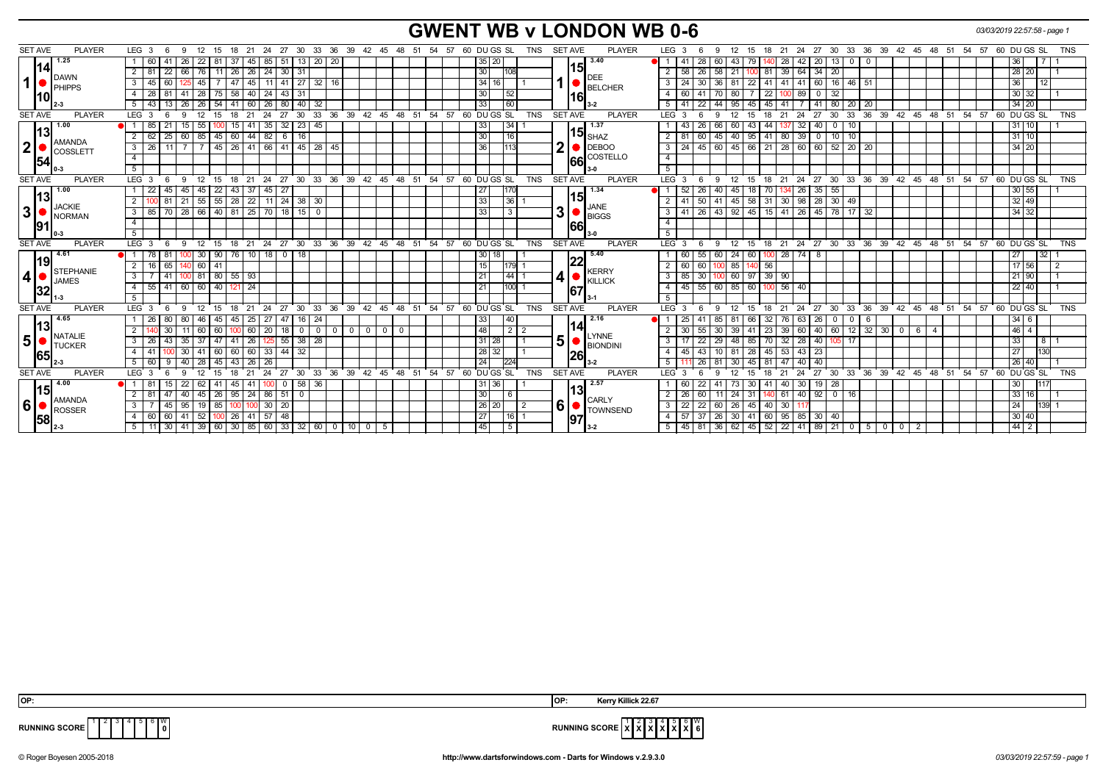### **GWENT WB v LONDON WB 0-6** *03/03/2019 22:57:58 - page 1*

| <b>SET AVE</b><br><b>PLAYER</b>                             | LEG 3<br>15<br>-9<br>-12                             | - 27<br>18<br>-21<br>24               |                              | 30 33 36 39 42 45 48 51 54     | 57<br>60 DU GS SL<br>TNS              | <b>PLAYER</b><br><b>SET AVE</b> | 30 33 36 39 42 45 48 51 54 57 60 DUGS SL<br><b>TNS</b><br>LEG 3<br>27<br>12<br>15<br>18<br>-21<br>-24<br>- 6                     |
|-------------------------------------------------------------|------------------------------------------------------|---------------------------------------|------------------------------|--------------------------------|---------------------------------------|---------------------------------|----------------------------------------------------------------------------------------------------------------------------------|
| 1.25                                                        | 41<br>26<br>22                                       | -37<br>85<br>51<br>13 I<br>45         | 20 20                        |                                | 35 20                                 | 3.40                            | 28<br>42<br>36<br>60<br>43<br>28<br>20 <sub>1</sub><br>$\vert$ 13<br>$\mathbf{0}$                                                |
| 114<br><b>DAWN</b><br>$\mathbf{1}$<br>PHIPPS                | 22<br>2<br>11<br>66 I                                | 24<br>30<br>26<br>26 I<br>-31         |                              |                                | 30                                    | 15                              | 28 20<br>58<br>26<br>58<br>39<br>64<br>$34 \mid 20$<br>2 <sup>1</sup><br>81<br>-21                                               |
|                                                             | 3<br>60<br>45<br>45                                  | 47<br>41<br>11<br>45 I                | $27$ 32<br>16                |                                | 34 16                                 | DEE                             | 36<br>22<br>$-46$<br>12<br>24<br>30<br>41<br>41<br>41<br>60 l<br>3<br>36 I<br>-81<br>  16  <br>-51                               |
|                                                             | 81<br>75<br>4<br>-28<br>28 I                         | 58<br>24<br>43<br>40 I<br>-31         |                              |                                | 30 <sub>l</sub><br>l 52               | <b>BELCHER</b>                  | 30 32<br>89<br>41<br>22<br>$\vert$ 32<br>60<br>70 80<br>4<br>$\overline{\mathbf{0}}$                                             |
|                                                             | 26 26 54<br>5<br>13                                  | 80<br>41<br>  60   26                 | 40 32                        |                                | 33 <sup>1</sup><br>160                | 16                              | $\overline{22}$<br>$34$ 20<br>5 I<br>95<br>45<br> 45 <br>41   80  <br>20 I<br>44<br>41 I<br>-20                                  |
| <b>SET AVE</b><br><b>PLAYER</b>                             | LEG <sub>3</sub><br>15<br><b>q</b><br>12             | 27<br>18<br>21<br>30<br>24            | 36<br>$33^\circ$<br>39       | 45 48 51<br>42 <sup>°</sup>    | 60 DU GS SL<br>54<br>57<br><b>TNS</b> | <b>SET AVE</b><br><b>PLAYER</b> | 33<br>39 42 45 48 51 54<br>60 DU GS SL<br>$LEG^3$ 3<br>18<br>24<br>27<br>30<br>36<br>57<br><b>TNS</b><br>12<br>15<br>21<br>-6    |
| 1.00                                                        | $\bullet$ 1<br>85<br>21<br>55<br>15 <sup>1</sup>     | 35<br>32<br>15                        | $23 \mid 45$                 |                                | 33<br>$\overline{34}$                 | 1.37                            | $31$ 10<br>26<br>32<br>10<br>43<br>66<br>60<br>43<br>-44<br>40<br>$\Omega$                                                       |
| l13l                                                        | 62<br>25<br>60 85 45<br>$\overline{2}$               | 60<br>$44 \mid 82$<br>6<br>16         |                              |                                | 30<br>16                              | 15 <sub>SHAZ</sub>              | 40 95 41 80 39<br>$31$ 10<br>60<br>45<br>10<br>2 I<br>81<br>110<br>$\overline{0}$                                                |
| AMANDA<br>$\mathbf{2}$                                      | $\overline{26}$<br>3<br>11                           | 45   26   41   66   41   45   28   45 |                              |                                | 36<br>1113                            | <b>DEBOO</b>                    | 34 20<br>$3 \mid 24$<br>  45   60   45   66   21   28   60   60   52   20   20                                                   |
| COSSLETT<br>154                                             | $\overline{4}$                                       |                                       |                              |                                |                                       | COSTELLO<br>66                  | $\overline{4}$                                                                                                                   |
|                                                             | 5 <sup>5</sup>                                       |                                       |                              |                                |                                       |                                 | $5-1$                                                                                                                            |
| <b>SET AVE</b><br><b>PLAYER</b>                             | LEG <sub>3</sub><br>15<br>- 6<br>9<br>12             | 24 27<br>18<br>21                     |                              | 30 33 36 39 42 45 48 51 54     | 57<br>60 DU GS SL<br><b>TNS</b>       | <b>PLAYER</b><br><b>SET AVE</b> | 27 30 33 36 39 42 45 48 51 54 57 60 DUGS SL<br>LEG <sub>3</sub><br>18<br>21<br>24<br>TNS<br>9<br>12<br>15<br>- 6                 |
| 1.00                                                        | $45$   $45$   22<br>22<br>45                         | $45 \mid 27$<br>43<br>37              |                              |                                | 27 <br>11701                          | 1.34                            | 30 55<br>OI 1 I<br>52<br>26<br>40 I<br>26<br>35 55<br>18<br>45                                                                   |
| 13 <br><b>JACKIE</b><br>$\mathbf 3$<br><b>NORMAN</b><br> 91 | 55 55<br>2<br>081<br>21                              | $22$ 11 24<br>28                      | 38 30                        |                                | 33 <br> 36                            | 15                              | 32 49<br>58 31 30 98<br>50 <sup>1</sup><br>28 30<br>2 <sup>1</sup><br>49<br>41<br>41 45                                          |
|                                                             | 28 66 40 81<br>$\overline{\mathbf{3}}$<br>70<br>85   | $25$ 70 18                            | $15$ 0                       |                                | 33 <br>l 3                            | JANE<br>3<br><b>BIGGS</b>       | 26<br> 43 92<br>45   15   41   26  <br>$34 \overline{)32}$<br>45   78   17   32<br>3 <sup>1</sup><br>41                          |
|                                                             | $\overline{4}$                                       |                                       |                              |                                |                                       | 66                              | $\overline{4}$                                                                                                                   |
|                                                             | 5                                                    |                                       |                              |                                |                                       |                                 | 5 <sup>5</sup>                                                                                                                   |
| <b>SET AVE</b><br><b>PLAYER</b>                             | LEG <sub>3</sub><br>-9<br>$^{\circ}$ 12<br>15<br>- 6 | 27<br>$^{\circ}$ 24<br>$18$ 21        |                              | 30 33 36 39 42 45 48 51        | 54 57<br>60 DU GS SL<br><b>TNS</b>    | <b>SET AVE</b><br><b>PLAYER</b> | 18 21 24 27 30 33 36 39 42 45 48 51 54 57 60 DUGS SL<br>$LEG^3$ 3<br><b>TNS</b><br>-9<br>$^{\circ}$ 12<br>15<br>6                |
| 4.61                                                        | 81<br>30   90<br>  78                                | $18$ 0<br>76 I<br>18<br>  10          |                              |                                | 30 18                                 | 5.40                            | 24<br>27<br>55<br>60<br>60 100<br>32 <sub>1</sub><br>60<br>- 8                                                                   |
| 19                                                          | 65<br>$\overline{2}$<br>140 60 41<br>16              |                                       |                              |                                | 15<br>$1179$ 1                        | 22<br><b>KERRY</b>              | $17 \ 56$<br>56<br>$2 \mid 60$<br>60<br>100 85<br>$\overline{2}$                                                                 |
| <b>STEPHANIE</b><br>$\boldsymbol{4}$<br><b>JAMES</b>        | $100$ 81 80 55 93<br>3<br>41                         |                                       |                              |                                | 21 <br>$144$ 1                        | 4 <br><b>KILLICK</b>            | 85<br>30<br>$39 \mid 90$<br>21 90<br>3 <sup>1</sup><br>100 60 97                                                                 |
| 32                                                          | 41<br>60 60 40<br>55<br>4                            | 24<br>121                             |                              |                                | 21<br>$1100$ 1                        | 67                              | 55<br>$22 \mid 40$<br>60 85<br>56<br>45<br>60<br>40<br>4<br>100 l                                                                |
|                                                             | -5                                                   |                                       |                              |                                |                                       |                                 | 5                                                                                                                                |
| <b>SET AVE</b><br><b>PLAYER</b>                             | LEG <sub>3</sub><br>12<br>15<br>-9                   | 27<br>30<br>21<br>24                  | 39<br>33<br>36               | $42^{\circ}$<br>45<br>48<br>51 | 54<br>60 DU GS SL<br>57<br>TNS        | <b>SET AVE</b><br><b>PLAYER</b> | 39<br>42 45 48 51 54<br>57 60 DU GS SL<br>LEG 3<br>27<br>30<br>33<br>36<br><b>TNS</b><br>12<br>18<br>24<br>-6<br>-9<br>15<br>-21 |
| 4.65                                                        | 80<br>45                                             | 27<br>47<br>45<br>25<br>16 I          | -24                          |                                | 33                                    | 2.16                            | $34 \mid 6$<br>25<br>32<br>63<br>26<br>$\mathbf{0}$<br>85<br>76.                                                                 |
| 1131<br><b>NATALIE</b><br>5 <sup>1</sup><br><b>TUCKER</b>   | 30<br>60<br>$\overline{2}$                           | 20<br>60<br>18<br>$\mathbf{0}$        | $\mathbf{0}$<br>$\mathbf{0}$ | 0 <sup>1</sup><br>$^{\circ}$   | 48 <br>$\overline{2}$                 | 114<br><b>LYNNE</b>             | 12<br>46<br>32<br>39<br>60<br>40 60<br>30<br>55<br>39<br>23<br>$\mathbf 0$<br>6<br>30<br>30                                      |
|                                                             | 3<br>43<br>47                                        | 55<br>38<br>41<br>26                  | 28                           |                                | 31 28                                 | 5<br><b>BIONDINI</b>            | 33<br>32<br>28<br>22<br>17<br>3 <sup>1</sup><br>29<br>48<br>85<br>70<br>40<br>8                                                  |
| <b>65</b>                                                   | 60<br>4                                              | 33<br>44<br>60<br>60<br>32            |                              |                                | 28 32                                 | 26                              | 27<br>28<br>43<br>130<br>43<br>45<br>53<br>45<br>23<br>4                                                                         |
|                                                             | 5<br>9<br>45                                         | 43<br>26                              |                              |                                | 24<br>224                             |                                 | 26 40<br>26<br>45<br>40<br>5<br>- 81                                                                                             |
| <b>SET AVE</b><br><b>PLAYER</b>                             | LEG <sub>3</sub><br>15                               | 27<br>30                              | 33<br>36<br>39               | 42<br>48<br>51<br>45           | 60 DUGS SL<br><b>TNS</b><br>54<br>57  | <b>SET AVE</b><br><b>PLAYER</b> | 33<br>54<br>60 DU GS SL<br><b>TNS</b><br>LEG 3<br>24<br>27<br>30<br>36<br>39<br>42<br>45<br>48<br>51<br>57<br>18<br>15           |
| $-4.00$<br>l15I<br>AMANDA<br>6'<br>ROSSER<br>1581           |                                                      | 58 I<br>45                            | 36                           |                                | 31   36                               | 2.57<br>l13                     | 30<br>30<br>22<br>  28<br>60<br>30<br>19<br>-41<br>40                                                                            |
|                                                             | 2<br>47<br>26<br>40<br>45                            | 51<br>95<br>86<br>24<br>$\Omega$      |                              |                                | 30                                    | <b>CARLY</b>                    | 33   16<br>26<br>60<br>40<br>$\overline{2}$<br>24<br>31<br>$92$ 0<br>16<br>61                                                    |
|                                                             | 3<br>45<br>$19$ 85<br>95                             | 20<br>30                              |                              |                                | 26 20 <br>  2                         | 6<br><b>TOWNSEND</b>            | $\overline{22}$<br>24<br>22<br>3 <sup>1</sup><br><b>26</b><br>45<br>30 <sup>2</sup><br>139 1<br>60 I<br>40 <sup>1</sup>          |
|                                                             | 60<br>52<br>$\overline{4}$<br>41<br>100              | 26<br>57<br>48<br>41 I                |                              |                                | 27 <br> 16                            | 97                              | 30   40<br>37<br>30 <sup>1</sup><br>57<br>26<br>41<br>60 95 85<br>30   40<br>4 I                                                 |
|                                                             | 30 <sup>1</sup><br>5 <sup>5</sup>                    | 41   39   60   30   85   60   33      | 32   60   0<br>110 I O I     | -5                             | 45 <br>l 5                            | $3 - 2$                         | $44 \quad 2$<br>5   45   81<br>  36   62   45   52   22   41  <br>  89   21   0   5   0   0<br>$\overline{2}$                    |

**RUNNING SCORE**  $\begin{bmatrix} 1 & 2 & 3 & 4 & 5 & 6 & W \\ 1 & 2 & 3 & 4 & 5 & 6 & W \\ 1 & 0 & 0 & 0 & 0 & 0 \end{bmatrix}$ 

 **OP: OP: Kerry Killick 22.67**